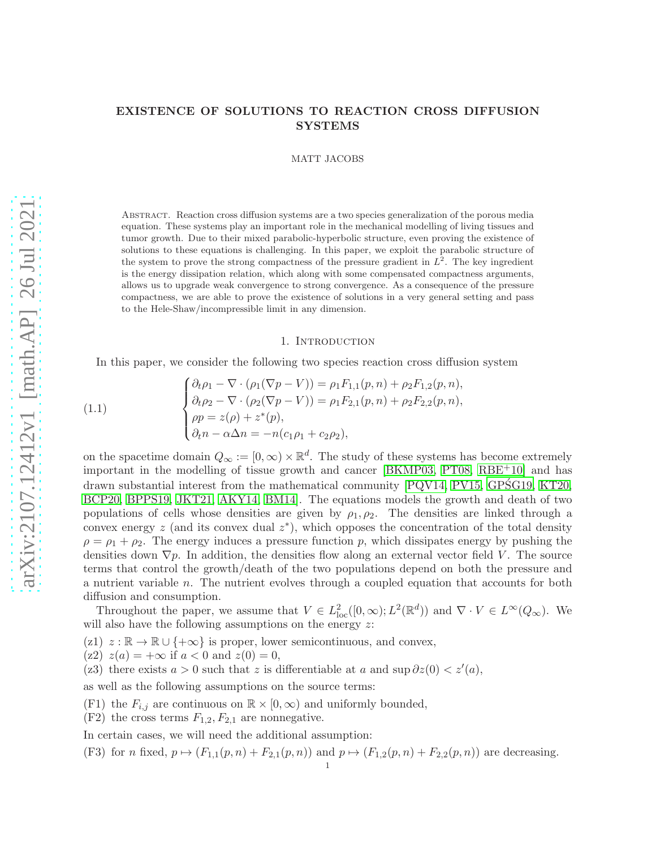## EXISTENCE OF SOLUTIONS TO REACTION CROSS DIFFUSION SYSTEMS

MATT JACOBS

Abstract. Reaction cross diffusion systems are a two species generalization of the porous media equation. These systems play an important role in the mechanical modelling of living tissues and tumor growth. Due to their mixed parabolic-hyperbolic structure, even proving the existence of solutions to these equations is challenging. In this paper, we exploit the parabolic structure of the system to prove the strong compactness of the pressure gradient in  $L^2$ . The key ingredient is the energy dissipation relation, which along with some compensated compactness arguments, allows us to upgrade weak convergence to strong convergence. As a consequence of the pressure compactness, we are able to prove the existence of solutions in a very general setting and pass to the Hele-Shaw/incompressible limit in any dimension.

## 1. INTRODUCTION

<span id="page-0-0"></span>In this paper, we consider the following two species reaction cross diffusion system

(1.1) 
$$
\begin{cases} \partial_t \rho_1 - \nabla \cdot (\rho_1 (\nabla p - V)) = \rho_1 F_{1,1}(p, n) + \rho_2 F_{1,2}(p, n), \\ \partial_t \rho_2 - \nabla \cdot (\rho_2 (\nabla p - V)) = \rho_1 F_{2,1}(p, n) + \rho_2 F_{2,2}(p, n), \\ \rho p = z(\rho) + z^*(p), \\ \partial_t n - \alpha \Delta n = -n(c_1 \rho_1 + c_2 \rho_2), \end{cases}
$$

on the spacetime domain  $Q_{\infty} := [0, \infty) \times \mathbb{R}^d$ . The study of these systems has become extremely important in the modelling of tissue growth and cancer [\[BKMP03,](#page-24-0) [PT08,](#page-25-0) [RBE](#page-25-1)<sup>+</sup>10] and has drawn substantial interest from the mathematical community  $[PQV14, PV15, GP\acute{S}G19, KT20,$  $[PQV14, PV15, GP\acute{S}G19, KT20,$  $[PQV14, PV15, GP\acute{S}G19, KT20,$  $[PQV14, PV15, GP\acute{S}G19, KT20,$ [BCP20,](#page-24-1) [BPPS19,](#page-24-2) [JKT21,](#page-25-6) [AKY14,](#page-24-3) [BM14\]](#page-24-4). The equations models the growth and death of two populations of cells whose densities are given by  $\rho_1, \rho_2$ . The densities are linked through a convex energy  $z$  (and its convex dual  $z^*$ ), which opposes the concentration of the total density  $\rho = \rho_1 + \rho_2$ . The energy induces a pressure function p, which dissipates energy by pushing the densities down  $\nabla p$ . In addition, the densities flow along an external vector field V. The source terms that control the growth/death of the two populations depend on both the pressure and a nutrient variable  $n$ . The nutrient evolves through a coupled equation that accounts for both diffusion and consumption.

Throughout the paper, we assume that  $V \in L^2_{loc}([0,\infty); L^2(\mathbb{R}^d))$  and  $\nabla \cdot V \in L^{\infty}(Q_{\infty})$ . We will also have the following assumptions on the energy  $z$ :

(z1)  $z : \mathbb{R} \to \mathbb{R} \cup \{+\infty\}$  is proper, lower semicontinuous, and convex,

(z2)  $z(a) = +\infty$  if  $a < 0$  and  $z(0) = 0$ ,

(z3) there exists  $a > 0$  such that z is differentiable at a and sup  $\partial z(0) < z'(a)$ ,

as well as the following assumptions on the source terms:

(F1) the  $F_{i,j}$  are continuous on  $\mathbb{R} \times [0,\infty)$  and uniformly bounded,

 $(F2)$  the cross terms  $F_{1,2}, F_{2,1}$  are nonnegative.

In certain cases, we will need the additional assumption:

(F3) for n fixed,  $p \mapsto (F_{1,1}(p, n) + F_{2,1}(p, n))$  and  $p \mapsto (F_{1,2}(p, n) + F_{2,2}(p, n))$  are decreasing.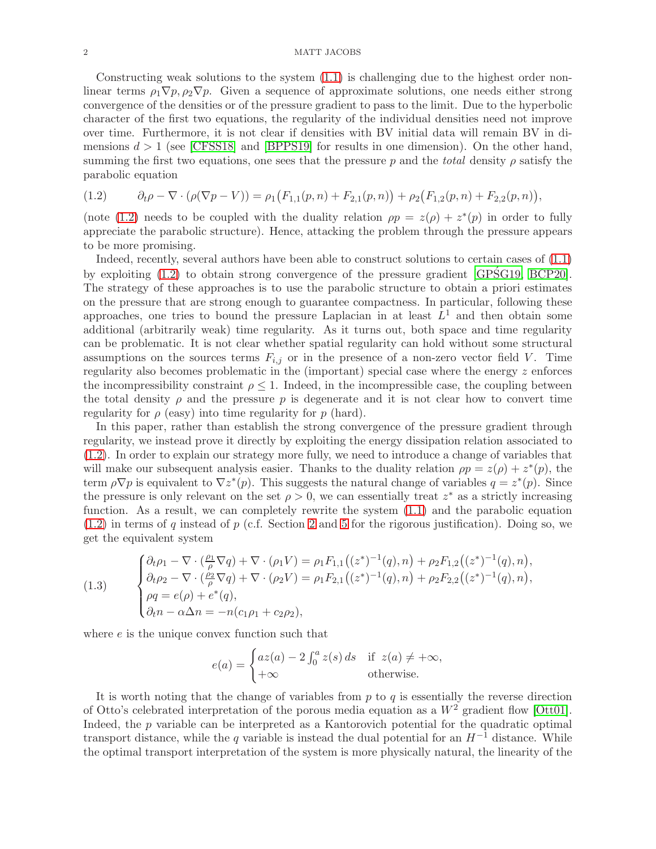## 2 MATT JACOBS

Constructing weak solutions to the system  $(1.1)$  is challenging due to the highest order nonlinear terms  $\rho_1 \nabla p$ ,  $\rho_2 \nabla p$ . Given a sequence of approximate solutions, one needs either strong convergence of the densities or of the pressure gradient to pass to the limit. Due to the hyperbolic character of the first two equations, the regularity of the individual densities need not improve over time. Furthermore, it is not clear if densities with BV initial data will remain BV in dimensions  $d > 1$  (see [\[CFSS18\]](#page-25-7) and [\[BPPS19\]](#page-24-2) for results in one dimension). On the other hand, summing the first two equations, one sees that the pressure p and the total density  $\rho$  satisfy the parabolic equation

<span id="page-1-0"></span>
$$
(1.2) \qquad \partial_t \rho - \nabla \cdot (\rho (\nabla p - V)) = \rho_1 (F_{1,1}(p,n) + F_{2,1}(p,n)) + \rho_2 (F_{1,2}(p,n) + F_{2,2}(p,n)),
$$

(note [\(1.2\)](#page-1-0) needs to be coupled with the duality relation  $\rho p = z(\rho) + z^*(p)$  in order to fully appreciate the parabolic structure). Hence, attacking the problem through the pressure appears to be more promising.

Indeed, recently, several authors have been able to construct solutions to certain cases of [\(1.1\)](#page-0-0) by exploiting  $(1.2)$  to obtain strong convergence of the pressure gradient  $[GP\acute{S}G19, BCP20]$  $[GP\acute{S}G19, BCP20]$ . The strategy of these approaches is to use the parabolic structure to obtain a priori estimates on the pressure that are strong enough to guarantee compactness. In particular, following these approaches, one tries to bound the pressure Laplacian in at least  $L<sup>1</sup>$  and then obtain some additional (arbitrarily weak) time regularity. As it turns out, both space and time regularity can be problematic. It is not clear whether spatial regularity can hold without some structural assumptions on the sources terms  $F_{i,j}$  or in the presence of a non-zero vector field V. Time regularity also becomes problematic in the (important) special case where the energy z enforces the incompressibility constraint  $\rho \leq 1$ . Indeed, in the incompressible case, the coupling between the total density  $\rho$  and the pressure p is degenerate and it is not clear how to convert time regularity for  $\rho$  (easy) into time regularity for  $p$  (hard).

In this paper, rather than establish the strong convergence of the pressure gradient through regularity, we instead prove it directly by exploiting the energy dissipation relation associated to [\(1.2\)](#page-1-0). In order to explain our strategy more fully, we need to introduce a change of variables that will make our subsequent analysis easier. Thanks to the duality relation  $\rho p = z(\rho) + z^*(p)$ , the term  $\rho \nabla p$  is equivalent to  $\nabla z^*(p)$ . This suggests the natural change of variables  $q = z^*(p)$ . Since the pressure is only relevant on the set  $\rho > 0$ , we can essentially treat  $z^*$  as a strictly increasing function. As a result, we can completely rewrite the system [\(1.1\)](#page-0-0) and the parabolic equation  $(1.2)$  in terms of q instead of p (c.f. Section [2](#page-4-0) and [5](#page-13-0) for the rigorous justification). Doing so, we get the equivalent system

<span id="page-1-1"></span>(1.3) 
$$
\begin{cases} \partial_t \rho_1 - \nabla \cdot (\frac{\rho_1}{\rho} \nabla q) + \nabla \cdot (\rho_1 V) = \rho_1 F_{1,1}((z^*)^{-1}(q), n) + \rho_2 F_{1,2}((z^*)^{-1}(q), n), \\ \partial_t \rho_2 - \nabla \cdot (\frac{\rho_2}{\rho} \nabla q) + \nabla \cdot (\rho_2 V) = \rho_1 F_{2,1}((z^*)^{-1}(q), n) + \rho_2 F_{2,2}((z^*)^{-1}(q), n), \\ \rho q = e(\rho) + e^*(q), \\ \partial_t n - \alpha \Delta n = -n(c_1 \rho_1 + c_2 \rho_2), \end{cases}
$$

where e is the unique convex function such that

$$
e(a) = \begin{cases} az(a) - 2 \int_0^a z(s) ds & \text{if } z(a) \neq +\infty, \\ +\infty & \text{otherwise.} \end{cases}
$$

It is worth noting that the change of variables from  $p$  to  $q$  is essentially the reverse direction of Otto's celebrated interpretation of the porous media equation as a  $W^2$  gradient flow [\[Ott01\]](#page-25-8). Indeed, the p variable can be interpreted as a Kantorovich potential for the quadratic optimal transport distance, while the q variable is instead the dual potential for an  $H^{-1}$  distance. While the optimal transport interpretation of the system is more physically natural, the linearity of the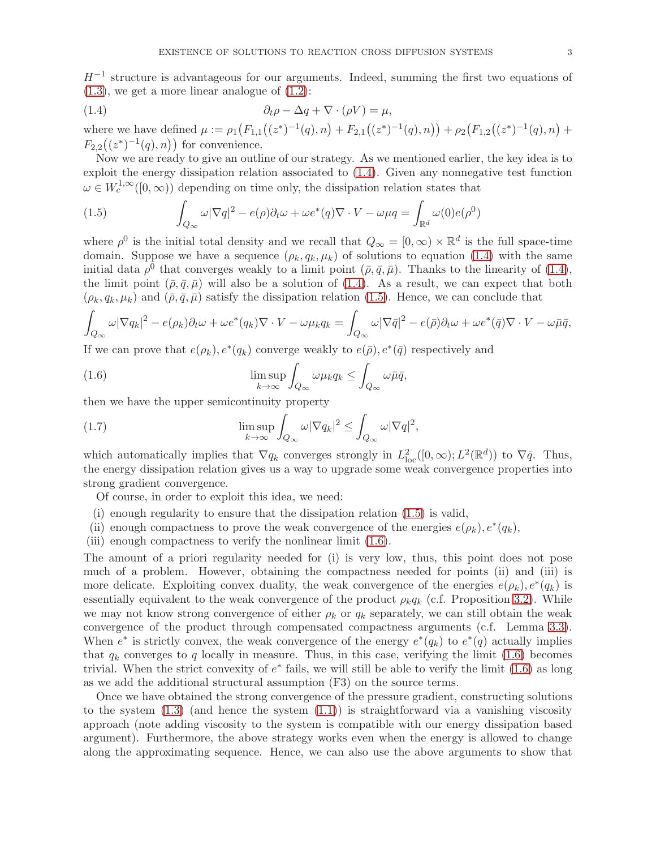$H^{-1}$  structure is advantageous for our arguments. Indeed, summing the first two equations of  $(1.3)$ , we get a more linear analogue of  $(1.2)$ :

<span id="page-2-0"></span>(1.4) 
$$
\partial_t \rho - \Delta q + \nabla \cdot (\rho V) = \mu,
$$

where we have defined  $\mu := \rho_1(F_{1,1}((z^*)^{-1}(q), n) + F_{2,1}((z^*)^{-1}(q), n)) + \rho_2(F_{1,2}((z^*)^{-1}(q), n) +$  $F_{2,2}((z^*)^{-1}(q),n)$  for convenience.

Now we are ready to give an outline of our strategy. As we mentioned earlier, the key idea is to exploit the energy dissipation relation associated to [\(1.4\)](#page-2-0). Given any nonnegative test function  $\omega \in W_c^{1,\infty}([0,\infty))$  depending on time only, the dissipation relation states that

<span id="page-2-1"></span>(1.5) 
$$
\int_{Q_{\infty}} \omega |\nabla q|^2 - e(\rho) \partial_t \omega + \omega e^*(q) \nabla \cdot V - \omega \mu q = \int_{\mathbb{R}^d} \omega(0) e(\rho^0)
$$

where  $\rho^0$  is the initial total density and we recall that  $Q_{\infty} = [0, \infty) \times \mathbb{R}^d$  is the full space-time domain. Suppose we have a sequence  $(\rho_k, q_k, \mu_k)$  of solutions to equation [\(1.4\)](#page-2-0) with the same initial data  $\rho^0$  that converges weakly to a limit point  $(\bar{\rho}, \bar{q}, \bar{\mu})$ . Thanks to the linearity of [\(1.4\)](#page-2-0), the limit point  $(\bar{\rho}, \bar{q}, \bar{\mu})$  will also be a solution of [\(1.4\)](#page-2-0). As a result, we can expect that both  $(\rho_k, q_k, \mu_k)$  and  $(\bar{\rho}, \bar{q}, \bar{\mu})$  satisfy the dissipation relation [\(1.5\)](#page-2-1). Hence, we can conclude that

$$
\int_{Q_{\infty}} \omega |\nabla q_k|^2 - e(\rho_k) \partial_t \omega + \omega e^*(q_k) \nabla \cdot V - \omega \mu_k q_k = \int_{Q_{\infty}} \omega |\nabla \bar{q}|^2 - e(\bar{\rho}) \partial_t \omega + \omega e^*(\bar{q}) \nabla \cdot V - \omega \bar{\mu} \bar{q},
$$

If we can prove that  $e(\rho_k)$ ,  $e^*(q_k)$  converge weakly to  $e(\bar{\rho}), e^*(\bar{q})$  respectively and

<span id="page-2-2"></span>(1.6) 
$$
\limsup_{k \to \infty} \int_{Q_{\infty}} \omega \mu_k q_k \leq \int_{Q_{\infty}} \omega \bar{\mu} \bar{q},
$$

then we have the upper semicontinuity property

<span id="page-2-3"></span>(1.7) 
$$
\limsup_{k \to \infty} \int_{Q_{\infty}} \omega |\nabla q_k|^2 \leq \int_{Q_{\infty}} \omega |\nabla q|^2,
$$

which automatically implies that  $\nabla q_k$  converges strongly in  $L^2_{loc}([0,\infty);L^2(\mathbb{R}^d))$  to  $\nabla \bar{q}$ . Thus, the energy dissipation relation gives us a way to upgrade some weak convergence properties into strong gradient convergence.

Of course, in order to exploit this idea, we need:

- (i) enough regularity to ensure that the dissipation relation [\(1.5\)](#page-2-1) is valid,
- (ii) enough compactness to prove the weak convergence of the energies  $e(\rho_k)$ ,  $e^*(q_k)$ ,
- (iii) enough compactness to verify the nonlinear limit [\(1.6\)](#page-2-2).

The amount of a priori regularity needed for (i) is very low, thus, this point does not pose much of a problem. However, obtaining the compactness needed for points (ii) and (iii) is more delicate. Exploiting convex duality, the weak convergence of the energies  $e(\rho_k)$ ,  $e^*(q_k)$  is essentially equivalent to the weak convergence of the product  $\rho_k q_k$  (c.f. Proposition [3.2\)](#page-7-0). While we may not know strong convergence of either  $\rho_k$  or  $q_k$  separately, we can still obtain the weak convergence of the product through compensated compactness arguments (c.f. Lemma [3.3\)](#page-8-0). When  $e^*$  is strictly convex, the weak convergence of the energy  $e^*(q_k)$  to  $e^*(q)$  actually implies that  $q_k$  converges to q locally in measure. Thus, in this case, verifying the limit [\(1.6\)](#page-2-2) becomes trivial. When the strict convexity of  $e^*$  fails, we will still be able to verify the limit  $(1.6)$  as long as we add the additional structural assumption (F3) on the source terms.

Once we have obtained the strong convergence of the pressure gradient, constructing solutions to the system  $(1.3)$  (and hence the system  $(1.1)$ ) is straightforward via a vanishing viscosity approach (note adding viscosity to the system is compatible with our energy dissipation based argument). Furthermore, the above strategy works even when the energy is allowed to change along the approximating sequence. Hence, we can also use the above arguments to show that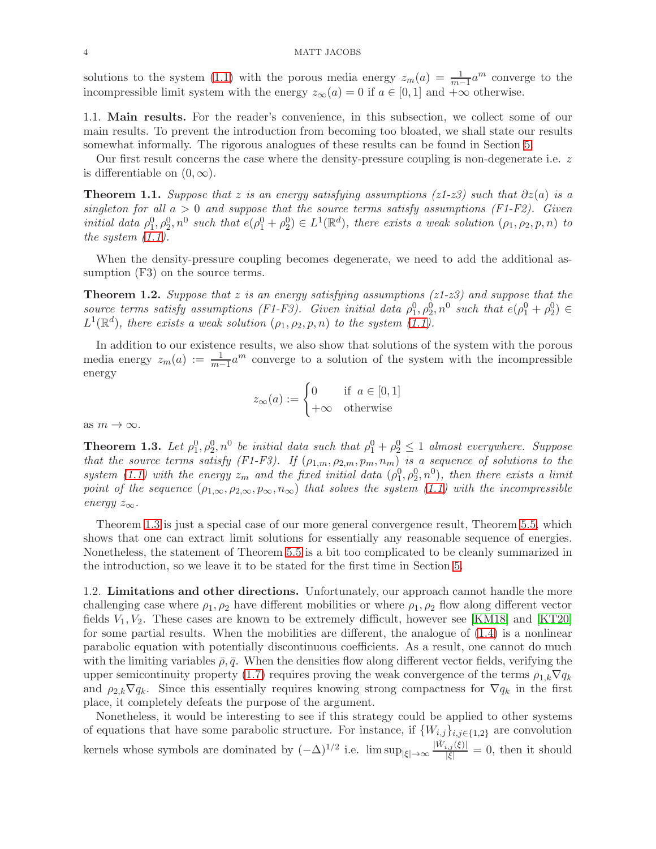solutions to the system [\(1.1\)](#page-0-0) with the porous media energy  $z_m(a) = \frac{1}{m-1}a^m$  converge to the incompressible limit system with the energy  $z_{\infty}(a) = 0$  if  $a \in [0,1]$  and  $+\infty$  otherwise.

1.1. Main results. For the reader's convenience, in this subsection, we collect some of our main results. To prevent the introduction from becoming too bloated, we shall state our results somewhat informally. The rigorous analogues of these results can be found in Section [5.](#page-13-0)

Our first result concerns the case where the density-pressure coupling is non-degenerate i.e. z is differentiable on  $(0, \infty)$ .

<span id="page-3-1"></span>**Theorem 1.1.** Suppose that z is an energy satisfying assumptions (z1-z3) such that  $\partial z(a)$  is a singleton for all  $a > 0$  and suppose that the source terms satisfy assumptions (F1-F2). Given initial data  $\rho_1^0, \rho_2^0, n^0$  such that  $e(\rho_1^0 + \rho_2^0) \in L^1(\mathbb{R}^d)$ , there exists a weak solution  $(\rho_1, \rho_2, p, n)$  to the system  $(1.1)$ .

When the density-pressure coupling becomes degenerate, we need to add the additional assumption  $(F3)$  on the source terms.

<span id="page-3-2"></span>**Theorem 1.2.** Suppose that z is an energy satisfying assumptions ( $z1-z3$ ) and suppose that the source terms satisfy assumptions (F1-F3). Given initial data  $\rho_1^0, \rho_2^0, n^0$  such that  $e(\rho_1^0 + \rho_2^0) \in$  $L^1(\mathbb{R}^d)$ , there exists a weak solution  $(\rho_1, \rho_2, p, n)$  to the system  $(1.1)$ .

In addition to our existence results, we also show that solutions of the system with the porous media energy  $z_m(a) := \frac{1}{m-1} a^m$  converge to a solution of the system with the incompressible energy

$$
z_{\infty}(a) := \begin{cases} 0 & \text{if } a \in [0,1] \\ +\infty & \text{otherwise} \end{cases}
$$

as  $m \to \infty$ .

<span id="page-3-0"></span>**Theorem 1.3.** Let  $\rho_1^0, \rho_2^0, n^0$  be initial data such that  $\rho_1^0 + \rho_2^0 \leq 1$  almost everywhere. Suppose that the source terms satisfy (F1-F3). If  $(\rho_{1,m}, \rho_{2,m}, p_m, n_m)$  is a sequence of solutions to the system [\(1.1\)](#page-0-0) with the energy  $z_m$  and the fixed initial data  $(\rho_1^0, \rho_2^0, n^0)$ , then there exists a limit point of the sequence  $(\rho_{1,\infty}, \rho_{2,\infty}, p_{\infty}, n_{\infty})$  that solves the system [\(1.1\)](#page-0-0) with the incompressible energy  $z_{\infty}$ .

Theorem [1.3](#page-3-0) is just a special case of our more general convergence result, Theorem [5.5,](#page-17-0) which shows that one can extract limit solutions for essentially any reasonable sequence of energies. Nonetheless, the statement of Theorem [5.5](#page-17-0) is a bit too complicated to be cleanly summarized in the introduction, so we leave it to be stated for the first time in Section [5.](#page-13-0)

1.2. Limitations and other directions. Unfortunately, our approach cannot handle the more challenging case where  $\rho_1, \rho_2$  have different mobilities or where  $\rho_1, \rho_2$  flow along different vector fields  $V_1, V_2$ . These cases are known to be extremely difficult, however see [\[KM18\]](#page-25-9) and [\[KT20\]](#page-25-5) for some partial results. When the mobilities are different, the analogue of [\(1.4\)](#page-2-0) is a nonlinear parabolic equation with potentially discontinuous coefficients. As a result, one cannot do much with the limiting variables  $\bar{\rho}, \bar{q}$ . When the densities flow along different vector fields, verifying the upper semicontinuity property [\(1.7\)](#page-2-3) requires proving the weak convergence of the terms  $\rho_{1,k}\nabla q_k$ and  $\rho_{2,k} \nabla q_k$ . Since this essentially requires knowing strong compactness for  $\nabla q_k$  in the first place, it completely defeats the purpose of the argument.

Nonetheless, it would be interesting to see if this strategy could be applied to other systems of equations that have some parabolic structure. For instance, if  $\{W_{i,j}\}_{i,j\in\{1,2\}}$  are convolution kernels whose symbols are dominated by  $(-\Delta)^{1/2}$  i.e.  $\limsup_{|\xi| \to \infty} \frac{|\hat{W}_{i,j}(\xi)|}{|\xi|} = 0$ , then it should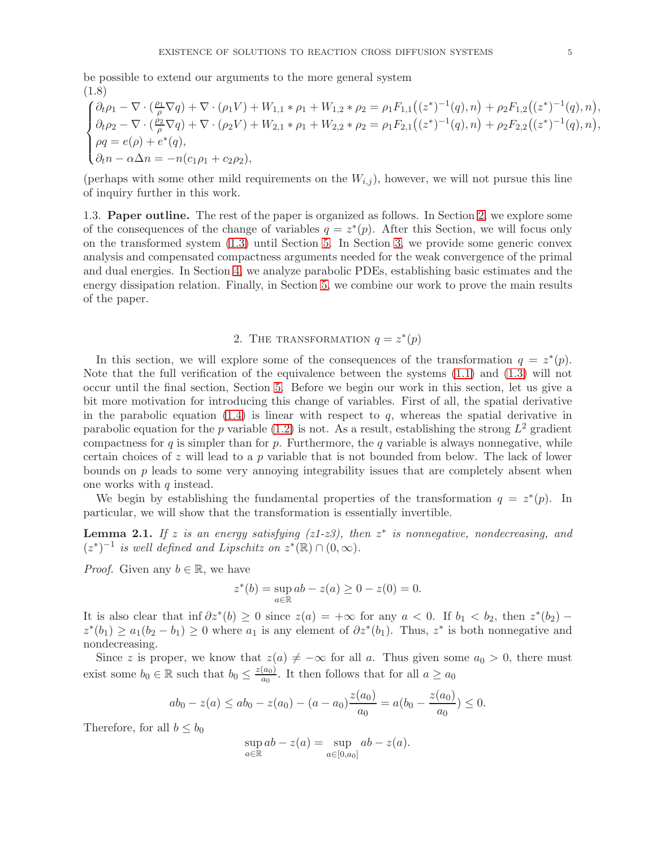be possible to extend our arguments to the more general system (1.8)

$$
\begin{cases} \partial_t \rho_1 - \nabla \cdot (\frac{\rho_1}{\rho} \nabla q) + \nabla \cdot (\rho_1 V) + W_{1,1} * \rho_1 + W_{1,2} * \rho_2 = \rho_1 F_{1,1}((z^*)^{-1}(q), n) + \rho_2 F_{1,2}((z^*)^{-1}(q), n), \\ \partial_t \rho_2 - \nabla \cdot (\frac{\rho_2}{\rho} \nabla q) + \nabla \cdot (\rho_2 V) + W_{2,1} * \rho_1 + W_{2,2} * \rho_2 = \rho_1 F_{2,1}((z^*)^{-1}(q), n) + \rho_2 F_{2,2}((z^*)^{-1}(q), n), \\ \rho q = e(\rho) + e^*(q), \\ \partial_t n - \alpha \Delta n = -n(c_1 \rho_1 + c_2 \rho_2), \end{cases}
$$

(perhaps with some other mild requirements on the  $W_{i,j}$ ), however, we will not pursue this line of inquiry further in this work.

1.3. Paper outline. The rest of the paper is organized as follows. In Section [2,](#page-4-0) we explore some of the consequences of the change of variables  $q = z^*(p)$ . After this Section, we will focus only on the transformed system [\(1.3\)](#page-1-1) until Section [5.](#page-13-0) In Section [3,](#page-6-0) we provide some generic convex analysis and compensated compactness arguments needed for the weak convergence of the primal and dual energies. In Section [4,](#page-9-0) we analyze parabolic PDEs, establishing basic estimates and the energy dissipation relation. Finally, in Section [5,](#page-13-0) we combine our work to prove the main results of the paper.

# 2. THE TRANSFORMATION  $q = z^*(p)$

<span id="page-4-0"></span>In this section, we will explore some of the consequences of the transformation  $q = z^*(p)$ . Note that the full verification of the equivalence between the systems [\(1.1\)](#page-0-0) and [\(1.3\)](#page-1-1) will not occur until the final section, Section [5.](#page-13-0) Before we begin our work in this section, let us give a bit more motivation for introducing this change of variables. First of all, the spatial derivative in the parabolic equation  $(1.4)$  is linear with respect to q, whereas the spatial derivative in parabolic equation for the p variable [\(1.2\)](#page-1-0) is not. As a result, establishing the strong  $L^2$  gradient compactness for  $q$  is simpler than for  $p$ . Furthermore, the  $q$  variable is always nonnegative, while certain choices of z will lead to a p variable that is not bounded from below. The lack of lower bounds on  $p$  leads to some very annoying integrability issues that are completely absent when one works with  $q$  instead.

We begin by establishing the fundamental properties of the transformation  $q = z^*(p)$ . In particular, we will show that the transformation is essentially invertible.

**Lemma 2.1.** If z is an energy satisfying  $(z1-z3)$ , then  $z^*$  is nonnegative, nondecreasing, and  $(z^*)^{-1}$  is well defined and Lipschitz on  $z^*(\mathbb{R}) \cap (0,\infty)$ .

*Proof.* Given any  $b \in \mathbb{R}$ , we have

$$
z^*(b) = \sup_{a \in \mathbb{R}} ab - z(a) \ge 0 - z(0) = 0.
$$

It is also clear that  $\inf \partial z^*(b) \ge 0$  since  $z(a) = +\infty$  for any  $a < 0$ . If  $b_1 < b_2$ , then  $z^*(b_2)$  –  $z^*(b_1) \ge a_1(b_2 - b_1) \ge 0$  where  $a_1$  is any element of  $\partial z^*(b_1)$ . Thus,  $z^*$  is both nonnegative and nondecreasing.

Since z is proper, we know that  $z(a) \neq -\infty$  for all a. Thus given some  $a_0 > 0$ , there must exist some  $b_0 \in \mathbb{R}$  such that  $b_0 \leq \frac{z(a_0)}{a_0}$  $\frac{(a_0)}{a_0}$ . It then follows that for all  $a \ge a_0$ 

$$
ab_0 - z(a) \leq ab_0 - z(a_0) - (a - a_0) \frac{z(a_0)}{a_0} = a(b_0 - \frac{z(a_0)}{a_0}) \leq 0.
$$

Therefore, for all  $b \leq b_0$ 

$$
\sup_{a \in \mathbb{R}} ab - z(a) = \sup_{a \in [0, a_0]} ab - z(a).
$$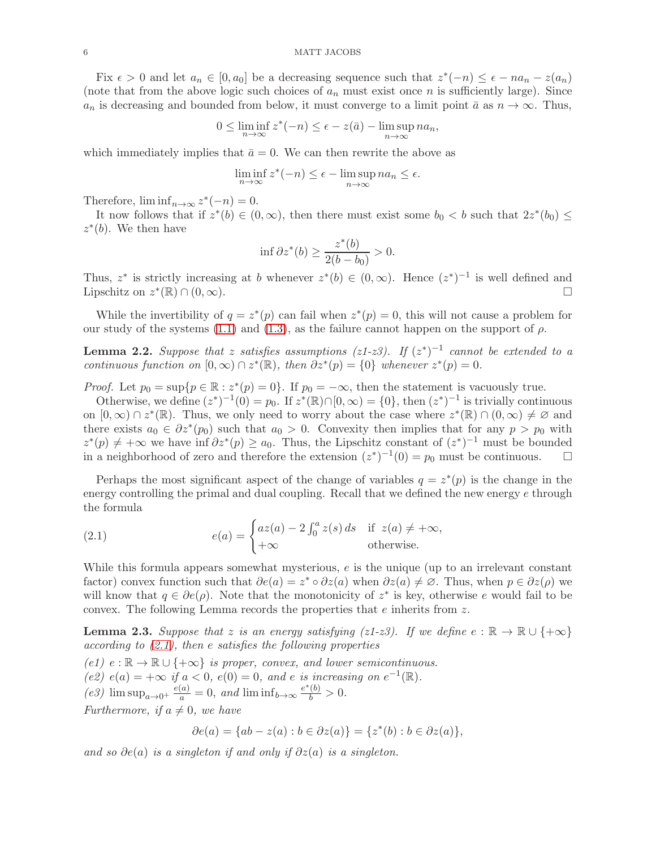Fix  $\epsilon > 0$  and let  $a_n \in [0, a_0]$  be a decreasing sequence such that  $z^*(-n) \leq \epsilon - na_n - z(a_n)$ (note that from the above logic such choices of  $a_n$  must exist once n is sufficiently large). Since  $a_n$  is decreasing and bounded from below, it must converge to a limit point  $\bar{a}$  as  $n \to \infty$ . Thus,

$$
0 \le \liminf_{n \to \infty} z^*(-n) \le \epsilon - z(\bar{a}) - \limsup_{n \to \infty} na_n,
$$

which immediately implies that  $\bar{a} = 0$ . We can then rewrite the above as

$$
\liminf_{n \to \infty} z^*(-n) \le \epsilon - \limsup_{n \to \infty} na_n \le \epsilon.
$$

Therefore,  $\liminf_{n\to\infty} z^*(-n) = 0.$ 

It now follows that if  $z^*(b) \in (0, \infty)$ , then there must exist some  $b_0 < b$  such that  $2z^*(b_0) \le$  $z^*(b)$ . We then have

$$
\inf \partial z^*(b) \ge \frac{z^*(b)}{2(b - b_0)} > 0.
$$

Thus,  $z^*$  is strictly increasing at b whenever  $z^*(b) \in (0,\infty)$ . Hence  $(z^*)^{-1}$  is well defined and Lipschitz on  $z^*(\mathbb{R}) \cap (0,\infty)$ .

While the invertibility of  $q = z^*(p)$  can fail when  $z^*(p) = 0$ , this will not cause a problem for our study of the systems [\(1.1\)](#page-0-0) and [\(1.3\)](#page-1-1), as the failure cannot happen on the support of  $\rho$ .

**Lemma 2.2.** Suppose that z satisfies assumptions (z1-z3). If  $(z^*)^{-1}$  cannot be extended to a continuous function on  $[0, \infty) \cap z^*(\mathbb{R})$ , then  $\partial z^*(p) = \{0\}$  whenever  $z^*(p) = 0$ .

*Proof.* Let  $p_0 = \sup\{p \in \mathbb{R} : z^*(p) = 0\}$ . If  $p_0 = -\infty$ , then the statement is vacuously true.

Otherwise, we define  $(z^*)^{-1}(0) = p_0$ . If  $z^*(\mathbb{R}) \cap [0, \infty) = \{0\}$ , then  $(z^*)^{-1}$  is trivially continuous on  $[0, \infty) \cap z^*(\mathbb{R})$ . Thus, we only need to worry about the case where  $z^*(\mathbb{R}) \cap (0, \infty) \neq \emptyset$  and there exists  $a_0 \in \partial z^*(p_0)$  such that  $a_0 > 0$ . Convexity then implies that for any  $p > p_0$  with  $z^*(p) \neq +\infty$  we have inf  $\partial z^*(p) \geq a_0$ . Thus, the Lipschitz constant of  $(z^*)^{-1}$  must be bounded in a neighborhood of zero and therefore the extension  $(z^*)^{-1}(0) = p_0$  must be continuous.  $\square$ 

Perhaps the most significant aspect of the change of variables  $q = z^*(p)$  is the change in the energy controlling the primal and dual coupling. Recall that we defined the new energy e through the formula

<span id="page-5-0"></span>(2.1) 
$$
e(a) = \begin{cases} az(a) - 2 \int_0^a z(s) ds & \text{if } z(a) \neq +\infty, \\ +\infty & \text{otherwise.} \end{cases}
$$

While this formula appears somewhat mysterious,  $e$  is the unique (up to an irrelevant constant factor) convex function such that  $\partial e(a) = z^* \circ \partial z(a)$  when  $\partial z(a) \neq \emptyset$ . Thus, when  $p \in \partial z(\rho)$  we will know that  $q \in \partial e(\rho)$ . Note that the monotonicity of  $z^*$  is key, otherwise e would fail to be convex. The following Lemma records the properties that  $e$  inherits from  $z$ .

**Lemma 2.3.** Suppose that z is an energy satisfying (z1-z3). If we define  $e : \mathbb{R} \to \mathbb{R} \cup \{+\infty\}$ according to  $(2.1)$ , then e satisfies the following properties

(e1)  $e : \mathbb{R} \to \mathbb{R} \cup \{+\infty\}$  is proper, convex, and lower semicontinuous. (e2)  $e(a) = +\infty$  if  $a < 0$ ,  $e(0) = 0$ , and e is increasing on  $e^{-1}(\mathbb{R})$ . (e3)  $\limsup_{a\to 0^+} \frac{e(a)}{a} = 0$ , and  $\liminf_{b\to\infty} \frac{e^*(b)}{b} > 0$ . Furthermore, if  $a \neq 0$ , we have

$$
\partial e(a) = \{ab - z(a) : b \in \partial z(a)\} = \{z^*(b) : b \in \partial z(a)\},\
$$

and so  $\partial e(a)$  is a singleton if and only if  $\partial z(a)$  is a singleton.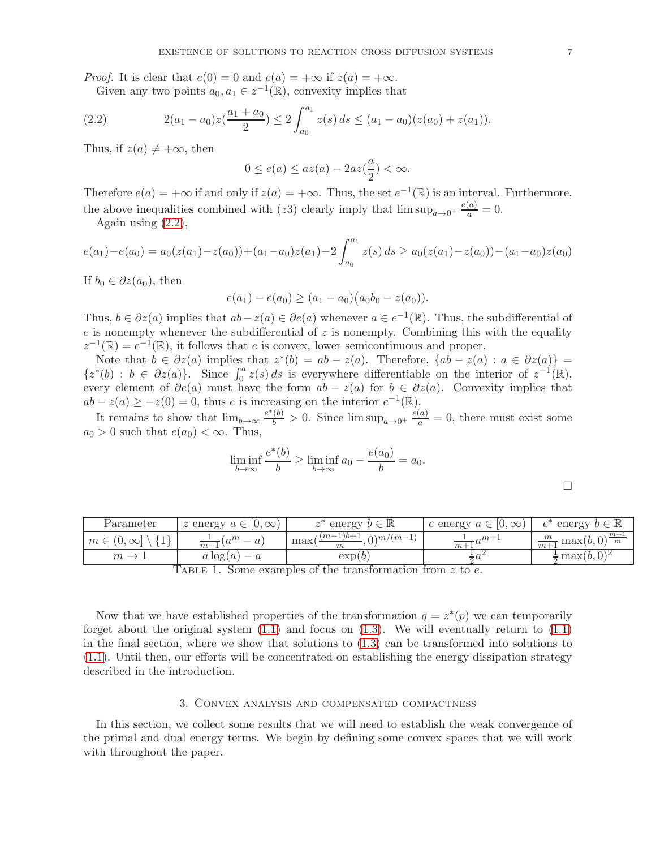*Proof.* It is clear that  $e(0) = 0$  and  $e(a) = +\infty$  if  $z(a) = +\infty$ .

<span id="page-6-1"></span>Given any two points  $a_0, a_1 \in z^{-1}(\mathbb{R})$ , convexity implies that

(2.2) 
$$
2(a_1 - a_0)z(\frac{a_1 + a_0}{2}) \le 2 \int_{a_0}^{a_1} z(s) ds \le (a_1 - a_0)(z(a_0) + z(a_1)).
$$

Thus, if  $z(a) \neq +\infty$ , then

$$
0 \le e(a) \le az(a) - 2az(\frac{a}{2}) < \infty.
$$

Therefore  $e(a) = +\infty$  if and only if  $z(a) = +\infty$ . Thus, the set  $e^{-1}(\mathbb{R})$  is an interval. Furthermore, the above inequalities combined with (z3) clearly imply that  $\limsup_{a\to 0^+} \frac{e(a)}{a} = 0$ .

Again using  $(2.2)$ ,

$$
e(a_1) - e(a_0) = a_0(z(a_1) - z(a_0)) + (a_1 - a_0)z(a_1) - 2\int_{a_0}^{a_1} z(s) ds \ge a_0(z(a_1) - z(a_0)) - (a_1 - a_0)z(a_0)
$$

If  $b_0 \in \partial z(a_0)$ , then

$$
e(a_1) - e(a_0) \ge (a_1 - a_0)(a_0b_0 - z(a_0)).
$$

Thus,  $b \in \partial z(a)$  implies that  $ab - z(a) \in \partial e(a)$  whenever  $a \in e^{-1}(\mathbb{R})$ . Thus, the subdifferential of  $e$  is nonempty whenever the subdifferential of  $z$  is nonempty. Combining this with the equality  $z^{-1}(\mathbb{R}) = e^{-1}(\mathbb{R})$ , it follows that e is convex, lower semicontinuous and proper.

Note that  $b \in \partial z(a)$  implies that  $z^*(b) = ab - z(a)$ . Therefore,  $\{ab - z(a) : a \in \partial z(a)\}$  $\{z^*(b) : b \in \partial z(a)\}\right\}$ . Since  $\int_0^a z(s) ds$  is everywhere differentiable on the interior of  $z^{-1}(\mathbb{R})$ , every element of  $\partial e(a)$  must have the form  $ab - z(a)$  for  $b \in \partial z(a)$ . Convexity implies that  $ab - z(a) \geq -z(0) = 0$ , thus e is increasing on the interior  $e^{-1}(\mathbb{R})$ .

It remains to show that  $\lim_{b\to\infty} \frac{e^*(b)}{b} > 0$ . Since  $\limsup_{a\to 0^+} \frac{e(a)}{a} = 0$ , there must exist some  $a_0 > 0$  such that  $e(a_0) < \infty$ . Thus,

$$
\liminf_{b \to \infty} \frac{e^*(b)}{b} \ge \liminf_{b \to \infty} a_0 - \frac{e(a_0)}{b} = a_0.
$$

 $\Box$ 

| Parameter                      | $z$ energy $a \in$<br>$[0, \infty)$ | energy $b \in \mathbb{R}$                        | e energy $a \in \mathcal{C}$<br>10,<br>$\infty$ | $e^{\tau}$<br>energy $b \in \mathbb{R}$   |
|--------------------------------|-------------------------------------|--------------------------------------------------|-------------------------------------------------|-------------------------------------------|
| $m \in (0, \infty]$<br>$\perp$ | $a^m$<br>$\overline{m-1}$           | $(m-1)b+1$<br>$\Omega \geq m/(m-1)$<br>max(<br>m | $\lambda$<br>$\overline{m+1}$ <sup>u</sup>      | $m+$<br>m<br>$\frac{m}{m+1}$ max $(b, 0)$ |
| $m \rightarrow$                | $a \log(a)$ –                       | $\exp(b)$                                        |                                                 | max(b, 0)                                 |

TABLE 1. Some examples of the transformation from z to e.

Now that we have established properties of the transformation  $q = z^*(p)$  we can temporarily forget about the original system  $(1.1)$  and focus on  $(1.3)$ . We will eventually return to  $(1.1)$ in the final section, where we show that solutions to [\(1.3\)](#page-1-1) can be transformed into solutions to [\(1.1\)](#page-0-0). Until then, our efforts will be concentrated on establishing the energy dissipation strategy described in the introduction.

## 3. Convex analysis and compensated compactness

<span id="page-6-0"></span>In this section, we collect some results that we will need to establish the weak convergence of the primal and dual energy terms. We begin by defining some convex spaces that we will work with throughout the paper.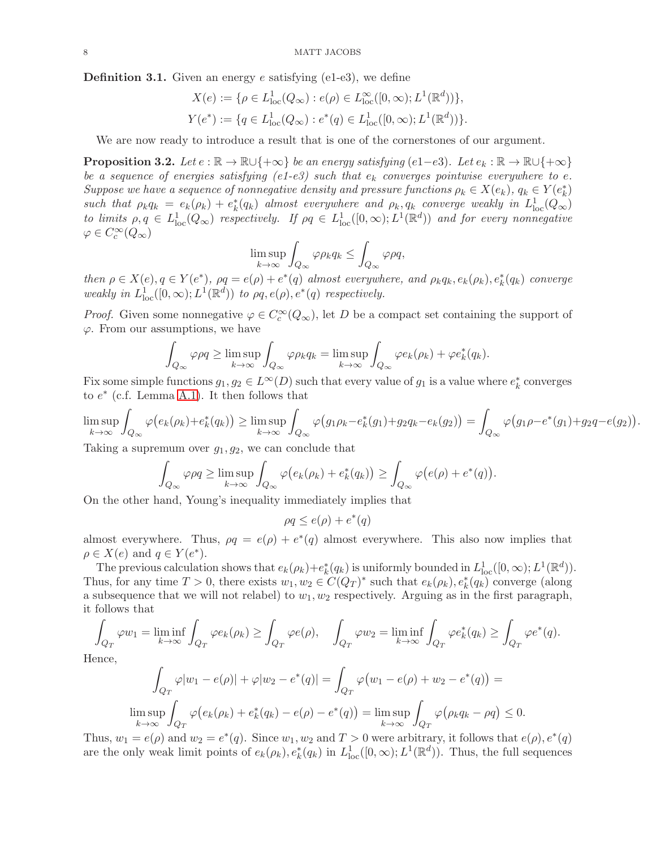**Definition 3.1.** Given an energy e satisfying (e1-e3), we define

$$
X(e) := \{ \rho \in L^1_{loc}(Q_{\infty}) : e(\rho) \in L^{\infty}_{loc}([0, \infty); L^1(\mathbb{R}^d)) \},\
$$
  

$$
Y(e^*) := \{ q \in L^1_{loc}(Q_{\infty}) : e^*(q) \in L^1_{loc}([0, \infty); L^1(\mathbb{R}^d)) \}.
$$

We are now ready to introduce a result that is one of the cornerstones of our argument.

<span id="page-7-0"></span>**Proposition 3.2.** Let  $e : \mathbb{R} \to \mathbb{R} \cup \{+\infty\}$  be an energy satisfying (e1−e3). Let  $e_k : \mathbb{R} \to \mathbb{R} \cup \{+\infty\}$ be a sequence of energies satisfying (e1-e3) such that  $e_k$  converges pointwise everywhere to e. Suppose we have a sequence of nonnegative density and pressure functions  $\rho_k \in X(e_k)$ ,  $q_k \in Y(e_k^*)$ such that  $\rho_k q_k = e_k(\rho_k) + e_k^*(q_k)$  almost everywhere and  $\rho_k, q_k$  converge weakly in  $L^1_{loc}(Q_\infty)$ to limits  $\rho, q \in L^1_{loc}(Q_\infty)$  respectively. If  $\rho q \in L^1_{loc}([0,\infty); L^1(\mathbb{R}^d))$  and for every nonnegative  $\varphi \in C_c^{\infty}(Q_{\infty})$ 

$$
\limsup_{k \to \infty} \int_{Q_{\infty}} \varphi \rho_k q_k \le \int_{Q_{\infty}} \varphi \rho q,
$$

then  $\rho \in X(e), q \in Y(e^*), \rho q = e(\rho) + e^*(q)$  almost everywhere, and  $\rho_k q_k, e_k(\rho_k), e_k^*(q_k)$  converge weakly in  $L^1_{loc}([0,\infty); L^1(\mathbb{R}^d))$  to  $\rho q, e(\rho), e^*(q)$  respectively.

*Proof.* Given some nonnegative  $\varphi \in C_c^{\infty}(Q_{\infty})$ , let D be a compact set containing the support of  $\varphi$ . From our assumptions, we have

$$
\int_{Q_{\infty}} \varphi \rho q \ge \limsup_{k \to \infty} \int_{Q_{\infty}} \varphi \rho_k q_k = \limsup_{k \to \infty} \int_{Q_{\infty}} \varphi e_k(\rho_k) + \varphi e_k^*(q_k).
$$

Fix some simple functions  $g_1, g_2 \in L^{\infty}(D)$  such that every value of  $g_1$  is a value where  $e_k^*$  converges to  $e^*$  (c.f. Lemma [A.1\)](#page-22-0). It then follows that

$$
\limsup_{k \to \infty} \int_{Q_{\infty}} \varphi(e_k(\rho_k) + e_k^*(q_k)) \ge \limsup_{k \to \infty} \int_{Q_{\infty}} \varphi(g_1 \rho_k - e_k^*(g_1) + g_2 q_k - e_k(g_2)) = \int_{Q_{\infty}} \varphi(g_1 \rho - e^*(g_1) + g_2 q - e(g_2))
$$

.

Taking a supremum over  $g_1, g_2$ , we can conclude that

$$
\int_{Q_{\infty}} \varphi \rho q \ge \limsup_{k \to \infty} \int_{Q_{\infty}} \varphi(e_k(\rho_k) + e_k^*(q_k)) \ge \int_{Q_{\infty}} \varphi(e(\rho) + e^*(q)).
$$

On the other hand, Young's inequality immediately implies that

$$
\rho q \le e(\rho) + e^*(q)
$$

almost everywhere. Thus,  $\rho q = e(\rho) + e^*(q)$  almost everywhere. This also now implies that  $\rho \in X(e)$  and  $q \in Y(e^*)$ .

The previous calculation shows that  $e_k(\rho_k)+e_k^*(q_k)$  is uniformly bounded in  $L^1_{loc}([0,\infty);L^1(\mathbb{R}^d))$ . Thus, for any time  $T > 0$ , there exists  $w_1, w_2 \in C(Q_T)^*$  such that  $e_k(\rho_k), e_k^*(q_k)$  converge (along a subsequence that we will not relabel) to  $w_1, w_2$  respectively. Arguing as in the first paragraph, it follows that

$$
\int_{Q_T} \varphi w_1 = \liminf_{k \to \infty} \int_{Q_T} \varphi e_k(\rho_k) \ge \int_{Q_T} \varphi e(\rho), \quad \int_{Q_T} \varphi w_2 = \liminf_{k \to \infty} \int_{Q_T} \varphi e_k^*(q_k) \ge \int_{Q_T} \varphi e^*(q).
$$
  
ence,  

$$
\int \varphi |w_1 - e(\rho)| + \varphi |w_2 - e^*(q)| = \int \varphi (w_1 - e(\rho) + w_2 - e^*(q)) =
$$

 $H<sub>0</sub>$ 

$$
\int_{Q_T} \varphi |w_1 - e(\rho)| + \varphi |w_2 - e^*(q)| = \int_{Q_T} \varphi (w_1 - e(\rho) + w_2 - e^*(q)) =
$$
  

$$
\limsup_{k \to \infty} \int_{Q_T} \varphi (e_k(\rho_k) + e_k^*(q_k) - e(\rho) - e^*(q)) = \limsup_{k \to \infty} \int_{Q_T} \varphi (\rho_k q_k - \rho q) \le 0.
$$

Thus,  $w_1 = e(\rho)$  and  $w_2 = e^*(q)$ . Since  $w_1, w_2$  and  $T > 0$  were arbitrary, it follows that  $e(\rho), e^*(q)$ are the only weak limit points of  $e_k(\rho_k), e_k^*(q_k)$  in  $L^1_{loc}([0,\infty); L^1(\mathbb{R}^d))$ . Thus, the full sequences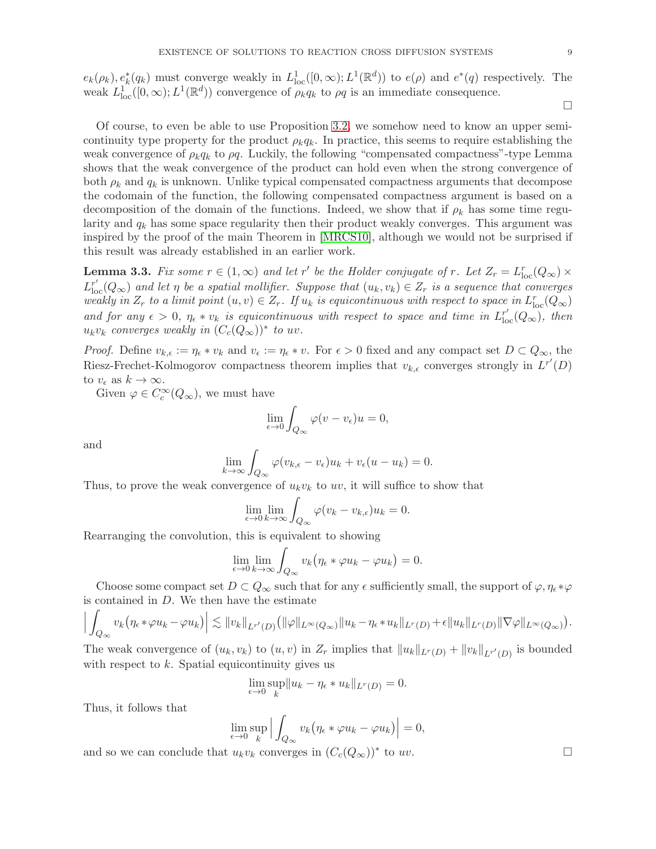$e_k(\rho_k), e_k^*(q_k)$  must converge weakly in  $L^1_{loc}([0,\infty); L^1(\mathbb{R}^d))$  to  $e(\rho)$  and  $e^*(q)$  respectively. The weak  $L_{\text{loc}}^{1}([0,\infty); L^{1}(\mathbb{R}^{d}))$  convergence of  $\rho_{k}q_{k}$  to  $\rho q$  is an immediate consequence.

 $\Box$ 

Of course, to even be able to use Proposition [3.2,](#page-7-0) we somehow need to know an upper semicontinuity type property for the product  $\rho_k q_k$ . In practice, this seems to require establishing the weak convergence of  $\rho_k q_k$  to  $\rho q$ . Luckily, the following "compensated compactness"-type Lemma shows that the weak convergence of the product can hold even when the strong convergence of both  $\rho_k$  and  $q_k$  is unknown. Unlike typical compensated compactness arguments that decompose the codomain of the function, the following compensated compactness argument is based on a decomposition of the domain of the functions. Indeed, we show that if  $\rho_k$  has some time regularity and  $q_k$  has some space regularity then their product weakly converges. This argument was inspired by the proof of the main Theorem in [\[MRCS10\]](#page-25-10), although we would not be surprised if this result was already established in an earlier work.

<span id="page-8-0"></span>**Lemma 3.3.** Fix some  $r \in (1,\infty)$  and let r' be the Holder conjugate of r. Let  $Z_r = L_{loc}^r(Q_\infty) \times$  $L_{\text{loc}}^{r'}(Q_{\infty})$  and let  $\eta$  be a spatial mollifier. Suppose that  $(u_k, v_k) \in Z_r$  is a sequence that converges weakly in  $Z_r$  to a limit point  $(u, v) \in Z_r$ . If  $u_k$  is equicontinuous with respect to space in  $L_{loc}^r(Q_\infty)$ and for any  $\epsilon > 0$ ,  $\eta_{\epsilon} * v_k$  is equicontinuous with respect to space and time in  $L_{\text{loc}}^{r'}(Q_{\infty})$ , then  $u_kv_k$  converges weakly in  $(C_c(Q_{\infty}))^*$  to  $uv$ .

*Proof.* Define  $v_{k,\epsilon} := \eta_{\epsilon} * v_k$  and  $v_{\epsilon} := \eta_{\epsilon} * v$ . For  $\epsilon > 0$  fixed and any compact set  $D \subset Q_{\infty}$ , the Riesz-Frechet-Kolmogorov compactness theorem implies that  $v_{k,\epsilon}$  converges strongly in  $L^{r'}(D)$ to  $v_{\epsilon}$  as  $k \to \infty$ .

Given  $\varphi \in C_c^{\infty}(Q_{\infty})$ , we must have

$$
\lim_{\epsilon \to 0} \int_{Q_{\infty}} \varphi(v - v_{\epsilon}) u = 0,
$$

and

$$
\lim_{k \to \infty} \int_{Q_{\infty}} \varphi(v_{k,\epsilon} - v_{\epsilon}) u_k + v_{\epsilon}(u - u_k) = 0.
$$

Thus, to prove the weak convergence of  $u_kv_k$  to uv, it will suffice to show that

$$
\lim_{\epsilon \to 0} \lim_{k \to \infty} \int_{Q_{\infty}} \varphi(v_k - v_{k,\epsilon}) u_k = 0.
$$

Rearranging the convolution, this is equivalent to showing

$$
\lim_{\epsilon \to 0} \lim_{k \to \infty} \int_{Q_{\infty}} v_k (\eta_{\epsilon} * \varphi u_k - \varphi u_k) = 0.
$$

Choose some compact set  $D \subset Q_\infty$  such that for any  $\epsilon$  sufficiently small, the support of  $\varphi, \eta_\epsilon * \varphi$ is contained in  $D$ . We then have the estimate

$$
\Big|\int_{Q_{\infty}} v_k \big(\eta_{\epsilon} * \varphi u_k - \varphi u_k\big)\Big| \lesssim \|v_k\|_{L^{r'}(D)} \big(\|\varphi\|_{L^{\infty}(Q_{\infty})} \|u_k - \eta_{\epsilon} * u_k\|_{L^{r}(D)} + \epsilon \|u_k\|_{L^{r}(D)} \|\nabla \varphi\|_{L^{\infty}(Q_{\infty})}\big).
$$

The weak convergence of  $(u_k, v_k)$  to  $(u, v)$  in  $Z_r$  implies that  $||u_k||_{L^r(D)} + ||v_k||_{L^{r'}(D)}$  is bounded with respect to  $k$ . Spatial equicontinuity gives us

$$
\lim_{\epsilon \to 0} \sup_{k} \|u_k - \eta_{\epsilon} * u_k\|_{L^r(D)} = 0.
$$

Thus, it follows that

$$
\lim_{\epsilon \to 0} \sup_{k} \left| \int_{Q_{\infty}} v_k \left( \eta_{\epsilon} * \varphi u_k - \varphi u_k \right) \right| = 0,
$$

and so we can conclude that  $u_k v_k$  converges in  $(C_c(Q_\infty))^*$  to  $uv$ .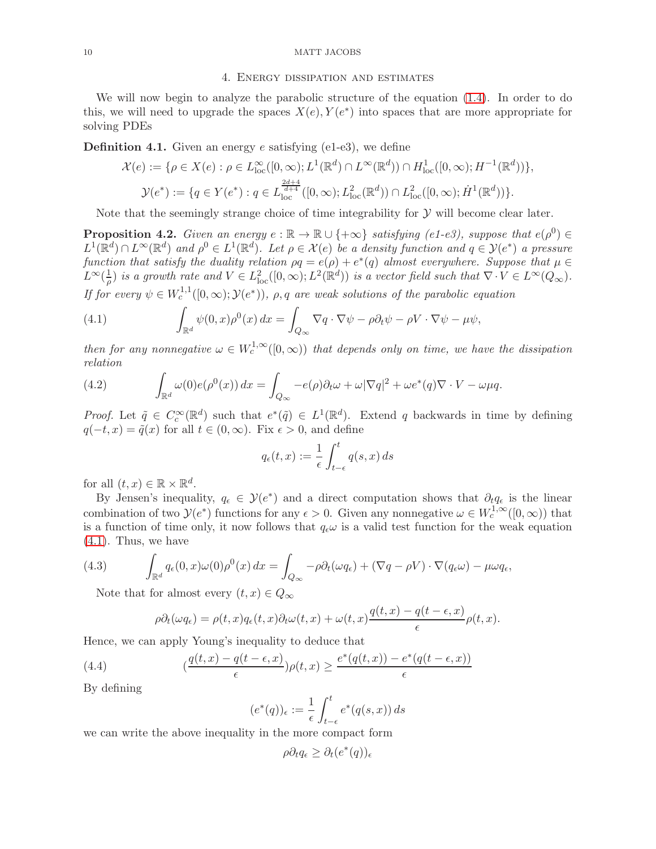### <span id="page-9-0"></span>10 MATT JACOBS

## 4. Energy dissipation and estimates

We will now begin to analyze the parabolic structure of the equation [\(1.4\)](#page-2-0). In order to do this, we will need to upgrade the spaces  $X(e), Y(e^*)$  into spaces that are more appropriate for solving PDEs

**Definition 4.1.** Given an energy  $e$  satisfying (e1-e3), we define

$$
\mathcal{X}(e) := \{ \rho \in X(e) : \rho \in L^{\infty}_{loc}([0,\infty); L^{1}(\mathbb{R}^{d}) \cap L^{\infty}(\mathbb{R}^{d})) \cap H^{1}_{loc}([0,\infty); H^{-1}(\mathbb{R}^{d})) \}, \n\mathcal{Y}(e^{*}) := \{ q \in Y(e^{*}) : q \in L^{\frac{2d+4}{d+4}}_{loc}([0,\infty); L^{2}_{loc}(\mathbb{R}^{d})) \cap L^{2}_{loc}([0,\infty); \dot{H}^{1}(\mathbb{R}^{d})) \}.
$$

Note that the seemingly strange choice of time integrability for  $\mathcal Y$  will become clear later.

<span id="page-9-3"></span>**Proposition 4.2.** Given an energy  $e : \mathbb{R} \to \mathbb{R} \cup \{+\infty\}$  satisfying (e1-e3), suppose that  $e(\rho^0) \in$  $L^1(\mathbb{R}^d) \cap L^{\infty}(\mathbb{R}^d)$  and  $\rho^0 \in L^1(\mathbb{R}^d)$ . Let  $\rho \in \mathcal{X}(e)$  be a density function and  $q \in \mathcal{Y}(e^*)$  a pressure function that satisfy the duality relation  $\rho q = e(\rho) + e^*(q)$  almost everywhere. Suppose that  $\mu \in$  $L^{\infty}(\frac{1}{a})$  $\frac{1}{\rho}$ ) is a growth rate and  $V \in L^2_{loc}([0,\infty); L^2(\mathbb{R}^d))$  is a vector field such that  $\nabla \cdot V \in L^{\infty}(Q_\infty)$ . If for every  $\psi \in W_c^{1,1}([0,\infty); \mathcal{Y}(e^*)), \rho, q$  are weak solutions of the parabolic equation

<span id="page-9-1"></span>(4.1) 
$$
\int_{\mathbb{R}^d} \psi(0, x) \rho^0(x) dx = \int_{Q_\infty} \nabla q \cdot \nabla \psi - \rho \partial_t \psi - \rho V \cdot \nabla \psi - \mu \psi,
$$

then for any nonnegative  $\omega \in W_c^{1,\infty}([0,\infty))$  that depends only on time, we have the dissipation relation

(4.2) 
$$
\int_{\mathbb{R}^d} \omega(0) e(\rho^0(x)) dx = \int_{Q_{\infty}} -e(\rho) \partial_t \omega + \omega |\nabla q|^2 + \omega e^*(q) \nabla \cdot V - \omega \mu q.
$$

*Proof.* Let  $\tilde{q} \in C_c^{\infty}(\mathbb{R}^d)$  such that  $e^*(\tilde{q}) \in L^1(\mathbb{R}^d)$ . Extend q backwards in time by defining  $q(-t, x) = \tilde{q}(x)$  for all  $t \in (0, \infty)$ . Fix  $\epsilon > 0$ , and define

$$
q_{\epsilon}(t,x) := \frac{1}{\epsilon} \int_{t-\epsilon}^{t} q(s,x) \, ds
$$

for all  $(t, x) \in \mathbb{R} \times \mathbb{R}^d$ .

By Jensen's inequality,  $q_{\epsilon} \in \mathcal{Y}(e^*)$  and a direct computation shows that  $\partial_t q_{\epsilon}$  is the linear combination of two  $\mathcal{Y}(e^*)$  functions for any  $\epsilon > 0$ . Given any nonnegative  $\omega \in W_c^{1,\infty}([0,\infty))$  that is a function of time only, it now follows that  $q_{\epsilon}\omega$  is a valid test function for the weak equation [\(4.1\)](#page-9-1). Thus, we have

(4.3) 
$$
\int_{\mathbb{R}^d} q_{\epsilon}(0,x)\omega(0)\rho^0(x) dx = \int_{Q_{\infty}} -\rho \partial_t(\omega q_{\epsilon}) + (\nabla q - \rho V) \cdot \nabla (q_{\epsilon}\omega) - \mu \omega q_{\epsilon},
$$

Note that for almost every  $(t, x) \in Q_{\infty}$ 

<span id="page-9-2"></span>
$$
\rho \partial_t(\omega q_{\epsilon}) = \rho(t, x) q_{\epsilon}(t, x) \partial_t \omega(t, x) + \omega(t, x) \frac{q(t, x) - q(t - \epsilon, x)}{\epsilon} \rho(t, x).
$$

Hence, we can apply Young's inequality to deduce that

(4.4) 
$$
\left(\frac{q(t,x)-q(t-\epsilon,x)}{\epsilon}\right)\rho(t,x) \geq \frac{e^*(q(t,x))-e^*(q(t-\epsilon,x))}{\epsilon}
$$

By defining

$$
(e^*(q))_\epsilon := \frac{1}{\epsilon} \int_{t-\epsilon}^t e^*(q(s,x)) \, ds
$$

we can write the above inequality in the more compact form

$$
\rho \partial_t q_{\epsilon} \ge \partial_t (e^*(q))_{\epsilon}
$$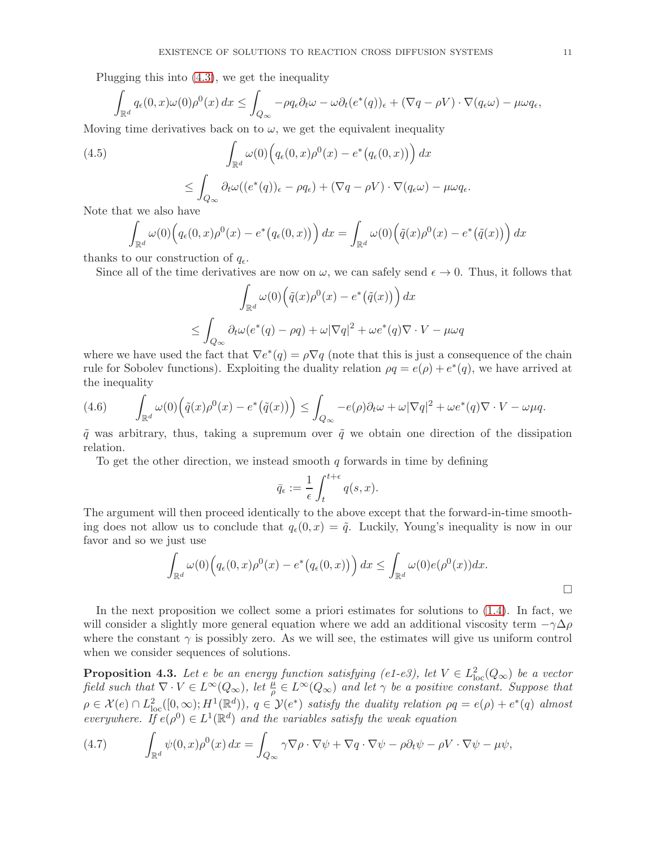Plugging this into [\(4.3\)](#page-9-2), we get the inequality

$$
\int_{\mathbb{R}^d} q_{\epsilon}(0,x)\omega(0)\rho^0(x) dx \leq \int_{Q_{\infty}} -\rho q_{\epsilon}\partial_t \omega - \omega \partial_t (e^*(q))_{\epsilon} + (\nabla q - \rho V) \cdot \nabla (q_{\epsilon}\omega) - \mu \omega q_{\epsilon},
$$

Moving time derivatives back on to  $\omega$ , we get the equivalent inequality

(4.5)  
\n
$$
\int_{\mathbb{R}^d} \omega(0) \Big( q_{\epsilon}(0, x) \rho^0(x) - e^* \big( q_{\epsilon}(0, x) \big) \Big) dx
$$
\n
$$
\leq \int_{Q_{\infty}} \partial_t \omega \big( (e^*(q))_{\epsilon} - \rho q_{\epsilon} \big) + (\nabla q - \rho V) \cdot \nabla (q_{\epsilon} \omega) - \mu \omega q_{\epsilon}.
$$

Note that we also have

$$
\int_{\mathbb{R}^d} \omega(0) \Big( q_\epsilon(0, x) \rho^0(x) - e^* \big( q_\epsilon(0, x) \big) \Big) dx = \int_{\mathbb{R}^d} \omega(0) \Big( \tilde{q}(x) \rho^0(x) - e^* \big( \tilde{q}(x) \big) \Big) dx
$$

thanks to our construction of  $q_{\epsilon}$ .

Since all of the time derivatives are now on  $\omega$ , we can safely send  $\epsilon \to 0$ . Thus, it follows that

$$
\int_{\mathbb{R}^d} \omega(0) \Big( \tilde{q}(x) \rho^0(x) - e^* \big( \tilde{q}(x) \big) \Big) dx
$$
  

$$
\leq \int_{Q_{\infty}} \partial_t \omega(e^*(q) - \rho q) + \omega |\nabla q|^2 + \omega e^*(q) \nabla \cdot V - \mu \omega q
$$

where we have used the fact that  $\nabla e^*(q) = \rho \nabla q$  (note that this is just a consequence of the chain rule for Sobolev functions). Exploiting the duality relation  $\rho q = e(\rho) + e^*(q)$ , we have arrived at the inequality

(4.6) 
$$
\int_{\mathbb{R}^d} \omega(0) \Big( \tilde{q}(x) \rho^0(x) - e^* \big( \tilde{q}(x) \big) \Big) \leq \int_{Q_{\infty}} -e(\rho) \partial_t \omega + \omega |\nabla q|^2 + \omega e^*(q) \nabla \cdot V - \omega \mu q.
$$

 $\tilde{q}$  was arbitrary, thus, taking a supremum over  $\tilde{q}$  we obtain one direction of the dissipation relation.

To get the other direction, we instead smooth  $q$  forwards in time by defining

$$
\bar{q}_{\epsilon} := \frac{1}{\epsilon} \int_{t}^{t+\epsilon} q(s, x).
$$

The argument will then proceed identically to the above except that the forward-in-time smoothing does not allow us to conclude that  $q_{\epsilon}(0, x) = \tilde{q}$ . Luckily, Young's inequality is now in our favor and so we just use

$$
\int_{\mathbb{R}^d} \omega(0) \Big( q_\epsilon(0, x) \rho^0(x) - e^* \big( q_\epsilon(0, x) \big) \Big) dx \le \int_{\mathbb{R}^d} \omega(0) e(\rho^0(x)) dx.
$$

In the next proposition we collect some a priori estimates for solutions to  $(1.4)$ . In fact, we will consider a slightly more general equation where we add an additional viscosity term  $-\gamma\Delta\rho$ where the constant  $\gamma$  is possibly zero. As we will see, the estimates will give us uniform control when we consider sequences of solutions.

<span id="page-10-1"></span>**Proposition 4.3.** Let e be an energy function satisfying (e1-e3), let  $V \in L^2_{loc}(Q_\infty)$  be a vector field such that  $\nabla \cdot V \in L^{\infty}(Q_{\infty})$ , let  $\frac{\mu}{\rho} \in L^{\infty}(Q_{\infty})$  and let  $\gamma$  be a positive constant. Suppose that  $\rho \in \mathcal{X}(e) \cap L^2_{loc}([0,\infty);H^1(\mathbb{R}^d))$ ,  $q \in \mathcal{Y}(e^*)$  satisfy the duality relation  $\rho q = e(\rho) + e^*(q)$  almost everywhere. If  $e(\rho^0) \in L^1(\mathbb{R}^d)$  and the variables satisfy the weak equation

<span id="page-10-0"></span>(4.7) 
$$
\int_{\mathbb{R}^d} \psi(0,x)\rho^0(x) dx = \int_{Q_\infty} \gamma \nabla \rho \cdot \nabla \psi + \nabla q \cdot \nabla \psi - \rho \partial_t \psi - \rho V \cdot \nabla \psi - \mu \psi,
$$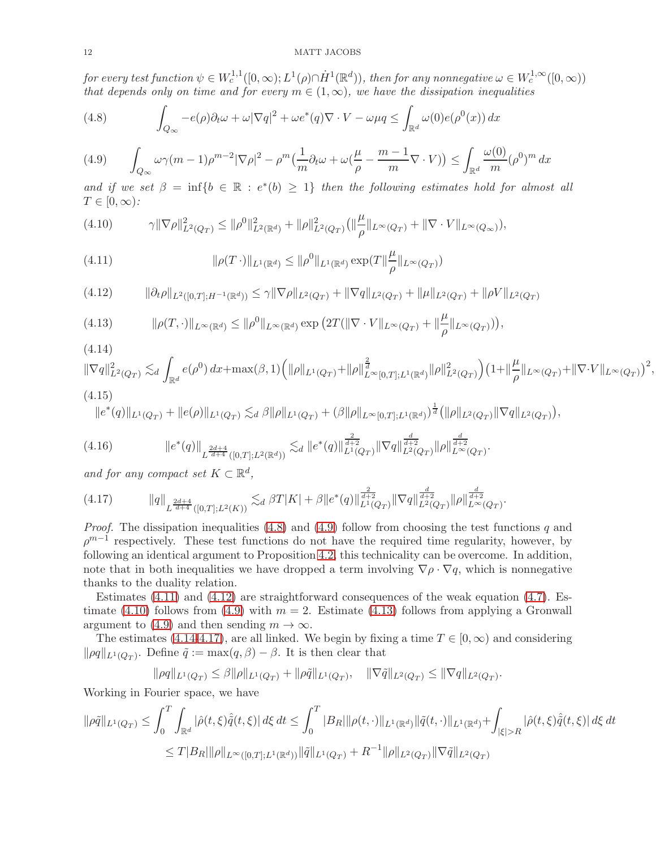## 12 MATT JACOBS

for every test function  $\psi \in W_c^{1,1}([0,\infty);L^1(\rho) \cap \dot{H}^1(\mathbb{R}^d))$ , then for any nonnegative  $\omega \in W_c^{1,\infty}([0,\infty))$ that depends only on time and for every  $m \in (1,\infty)$ , we have the dissipation inequalities

<span id="page-11-0"></span>(4.8) 
$$
\int_{Q_{\infty}} -e(\rho)\partial_t \omega + \omega |\nabla q|^2 + \omega e^*(q)\nabla \cdot V - \omega \mu q \leq \int_{\mathbb{R}^d} \omega(0)e(\rho^0(x)) dx
$$

<span id="page-11-1"></span>
$$
(4.9) \qquad \int_{Q_{\infty}} \omega \gamma(m-1)\rho^{m-2} |\nabla \rho|^2 - \rho^m \left(\frac{1}{m} \partial_t \omega + \omega \left(\frac{\mu}{\rho} - \frac{m-1}{m} \nabla \cdot V\right)\right) \le \int_{\mathbb{R}^d} \frac{\omega(0)}{m} (\rho^0)^m dx
$$

and if we set  $\beta = \inf\{b \in \mathbb{R} : e^*(b) \geq 1\}$  then the following estimates hold for almost all  $T \in [0,\infty)$ :

<span id="page-11-4"></span>
$$
(4.10) \t\t\t\t\t\gamma \|\nabla \rho\|_{L^2(Q_T)}^2 \leq \|\rho^0\|_{L^2(\mathbb{R}^d)}^2 + \|\rho\|_{L^2(Q_T)}^2 \left(\|\frac{\mu}{\rho}\|_{L^\infty(Q_T)} + \|\nabla \cdot V\|_{L^\infty(Q_\infty)}\right),
$$

<span id="page-11-2"></span>(4.11) 
$$
\|\rho(T\,\cdot)\|_{L^1(\mathbb{R}^d)} \le \|\rho^0\|_{L^1(\mathbb{R}^d)} \exp(T\|\frac{\mu}{\rho}\|_{L^\infty(Q_T)})
$$

<span id="page-11-3"></span>
$$
(4.12) \qquad \|\partial_t \rho\|_{L^2([0,T];H^{-1}(\mathbb{R}^d))} \leq \gamma \|\nabla \rho\|_{L^2(Q_T)} + \|\nabla q\|_{L^2(Q_T)} + \|\mu\|_{L^2(Q_T)} + \|\rho V\|_{L^2(Q_T)}
$$

<span id="page-11-5"></span>(4.13) 
$$
\|\rho(T,\cdot)\|_{L^{\infty}(\mathbb{R}^d)} \leq \|\rho^0\|_{L^{\infty}(\mathbb{R}^d)} \exp\left(2T(\|\nabla\cdot V\|_{L^{\infty}(Q_T)} + \|\frac{\mu}{\rho}\|_{L^{\infty}(Q_T)})\right),
$$

<span id="page-11-6"></span>(4.14)  
\n
$$
\|\nabla q\|_{L^2(Q_T)}^2 \lesssim_d \int_{\mathbb{R}^d} e(\rho^0) dx + \max(\beta, 1) \Big( \|\rho\|_{L^1(Q_T)} + \|\rho\|_{L^\infty[0, T]; L^1(\mathbb{R}^d)}^{\frac{2}{d}} \|\rho\|_{L^2(Q_T)}^2 \Big) \big( 1 + \|\frac{\mu}{\rho}\|_{L^\infty(Q_T)} + \|\nabla \cdot V\|_{L^\infty(Q_T)}\big)^2,
$$
\n(4.15)

<span id="page-11-8"></span>
$$
\|e^*(q)\|_{L^1(Q_T)} + \|e(\rho)\|_{L^1(Q_T)} \lesssim_d \beta \|\rho\|_{L^1(Q_T)} + (\beta \|\rho\|_{L^\infty[0,T];L^1(\mathbb{R}^d)})^{\frac{1}{d}} (\|\rho\|_{L^2(Q_T)} \|\nabla q\|_{L^2(Q_T)}),
$$

$$
(4.16) \t\t\t ||e^*(q)||_{L^{\frac{2d+4}{d+4}}([0,T];L^2(\mathbb{R}^d))} \lesssim_d ||e^*(q)||_{L^1(Q_T)}^{\frac{2}{d+2}} ||\nabla q||_{L^2(Q_T)}^{\frac{d}{d+2}} ||\rho||_{L^{\infty}(Q_T)}^{\frac{d}{d+2}}.
$$

and for any compact set  $K \subset \mathbb{R}^d$ ,

<span id="page-11-7"></span>
$$
(4.17) \t\t ||q||_{L^{\frac{2d+4}{d+4}}([0,T];L^2(K))} \lesssim_d \beta T |K| + \beta ||e^*(q)||_{L^1(Q_T)}^{\frac{2}{d+2}} ||\nabla q||_{L^2(Q_T)}^{\frac{d}{d+2}} ||\rho||_{L^{\infty}(Q_T)}^{\frac{d}{d+2}}.
$$

*Proof.* The dissipation inequalities  $(4.8)$  and  $(4.9)$  follow from choosing the test functions q and  $\rho^{m-1}$  respectively. These test functions do not have the required time regularity, however, by following an identical argument to Proposition [4.2,](#page-9-3) this technicality can be overcome. In addition, note that in both inequalities we have dropped a term involving  $\nabla \rho \cdot \nabla q$ , which is nonnegative thanks to the duality relation.

Estimates  $(4.11)$  and  $(4.12)$  are straightforward consequences of the weak equation  $(4.7)$ . Es-timate [\(4.10\)](#page-11-4) follows from [\(4.9\)](#page-11-1) with  $m = 2$ . Estimate [\(4.13\)](#page-11-5) follows from applying a Gronwall argument to [\(4.9\)](#page-11-1) and then sending  $m \to \infty$ .

The estimates [\(4.14](#page-11-6)[-4.17\)](#page-11-7), are all linked. We begin by fixing a time  $T \in [0, \infty)$  and considering  $\|\rho q\|_{L^1(Q_T)}$ . Define  $\tilde{q} := \max(q, \beta) - \beta$ . It is then clear that

$$
\|\rho q\|_{L^1(Q_T)} \leq \beta \|\rho\|_{L^1(Q_T)} + \|\rho \tilde{q}\|_{L^1(Q_T)}, \quad \|\nabla \tilde{q}\|_{L^2(Q_T)} \leq \|\nabla q\|_{L^2(Q_T)}.
$$

Working in Fourier space, we have

$$
\|\rho \tilde{q}\|_{L^{1}(Q_{T})} \leq \int_{0}^{T} \int_{\mathbb{R}^{d}} |\hat{\rho}(t,\xi) \hat{\tilde{q}}(t,\xi)| d\xi dt \leq \int_{0}^{T} |B_{R}| \|\rho(t,\cdot)\|_{L^{1}(\mathbb{R}^{d})} \|\tilde{q}(t,\cdot)\|_{L^{1}(\mathbb{R}^{d})} + \int_{|\xi|>R} |\hat{\rho}(t,\xi) \hat{\tilde{q}}(t,\xi)| d\xi dt
$$
  

$$
\leq T|B_{R}| \|\rho\|_{L^{\infty}([0,T];L^{1}(\mathbb{R}^{d}))} \|\tilde{q}\|_{L^{1}(Q_{T})} + R^{-1} \|\rho\|_{L^{2}(Q_{T})} \|\nabla \tilde{q}\|_{L^{2}(Q_{T})}
$$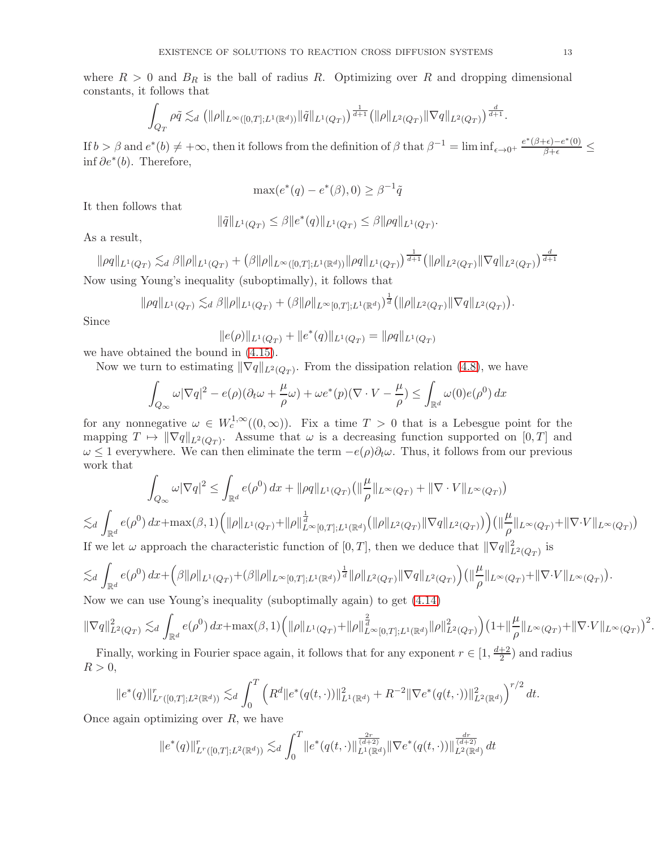where  $R > 0$  and  $B_R$  is the ball of radius R. Optimizing over R and dropping dimensional constants, it follows that

$$
\int_{Q_T} \rho \tilde{q} \lesssim_d \left( \|\rho\|_{L^\infty([0,T];L^1(\mathbb{R}^d))} \|\tilde{q}\|_{L^1(Q_T)} \right)^{\frac{1}{d+1}} \left( \|\rho\|_{L^2(Q_T)} \|\nabla q\|_{L^2(Q_T)} \right)^{\frac{d}{d+1}}.
$$

If  $b > \beta$  and  $e^*(b) \neq +\infty$ , then it follows from the definition of  $\beta$  that  $\beta^{-1} = \liminf_{\epsilon \to 0^+} \frac{e^*(\beta+\epsilon)-e^*(0)}{\beta+\epsilon} \leq$ inf  $∂e^*(b)$ . Therefore,

$$
\max(e^*(q) - e^*(\beta), 0) \ge \beta^{-1}\tilde{q}
$$

It then follows that

$$
\|\tilde{q}\|_{L^1(Q_T)} \leq \beta \|e^*(q)\|_{L^1(Q_T)} \leq \beta \|\rho q\|_{L^1(Q_T)}.
$$

As a result,

 $\|\rho q\|_{L^1(Q_T)} \lesssim_d \beta \|\rho\|_{L^1(Q_T)} + \left(\beta \|\rho\|_{L^\infty([0,T];L^1(\mathbb{R}^d))} \|\rho q\|_{L^1(Q_T)} \right)^{\frac{1}{d+1}} \left( \|\rho\|_{L^2(Q_T)} \|\nabla q\|_{L^2(Q_T)} \right)^{\frac{d}{d+1}}$ Now using Young's inequality (suboptimally), it follows that

$$
\|\rho q\|_{L^1(Q_T)} \lesssim_d \beta \|\rho\|_{L^1(Q_T)} + (\beta \|\rho\|_{L^\infty[0,T];L^1(\mathbb{R}^d)})^{\frac{1}{d}} (\|\rho\|_{L^2(Q_T)} \|\nabla q\|_{L^2(Q_T)}).
$$

Since

$$
||e(\rho)||_{L^1(Q_T)} + ||e^*(q)||_{L^1(Q_T)} = ||\rho q||_{L^1(Q_T)}
$$

we have obtained the bound in [\(4.15\)](#page-11-8).

Now we turn to estimating  $\|\nabla q\|_{L^2(Q_T)}$ . From the dissipation relation [\(4.8\)](#page-11-0), we have

$$
\int_{Q_{\infty}} \omega |\nabla q|^2 - e(\rho)(\partial_t \omega + \frac{\mu}{\rho} \omega) + \omega e^*(p)(\nabla \cdot V - \frac{\mu}{\rho}) \le \int_{\mathbb{R}^d} \omega(0)e(\rho^0) dx
$$

for any nonnegative  $\omega \in W_c^{1,\infty}((0,\infty))$ . Fix a time  $T > 0$  that is a Lebesgue point for the mapping  $T \mapsto \|\nabla q\|_{L^2(Q_T)}$ . Assume that  $\omega$  is a decreasing function supported on  $[0, T]$  and  $\omega \leq 1$  everywhere. We can then eliminate the term  $-e(\rho)\partial_t\omega$ . Thus, it follows from our previous work that

$$
\int_{Q_{\infty}} \omega |\nabla q|^2 \le \int_{\mathbb{R}^d} e(\rho^0) dx + ||\rho q||_{L^1(Q_T)} (||\frac{\mu}{\rho}||_{L^{\infty}(Q_T)} + ||\nabla \cdot V||_{L^{\infty}(Q_T)})
$$

$$
\lesssim_d \int_{\mathbb{R}^d} e(\rho^0) dx + \max(\beta, 1) \Big( \|\rho\|_{L^1(Q_T)} + \|\rho\|_{L^\infty[0,T]; L^1(\mathbb{R}^d)}^{\frac{1}{d}} \Big( \|\rho\|_{L^2(Q_T)} \|\nabla q\|_{L^2(Q_T)} \Big) \Big) \Big( \|\frac{\mu}{\rho}\|_{L^\infty(Q_T)} + \|\nabla \cdot V\|_{L^\infty(Q_T)} \Big)
$$
  
If we let  $\omega$  approach the characteristic function of [0, T], then we deduce that  $\|\nabla q\|_{L^2(Q_T)}^2$  is

$$
\lesssim_d \int_{\mathbb{R}^d} e(\rho^0) \, dx + \Big( \beta \|\rho\|_{L^1(Q_T)} + (\beta \|\rho\|_{L^\infty[0,T];L^1(\mathbb{R}^d)})^{\frac{1}{d}} \|\rho\|_{L^2(Q_T)} \|\nabla q\|_{L^2(Q_T)} \Big) \Big( \|\frac{\mu}{\rho}\|_{L^\infty(Q_T)} + \|\nabla \cdot V\|_{L^\infty(Q_T)} \Big).
$$
\nNow, we can use *N*our's inequality (suboptimally: graph) to get (4.14).

Now we can use Young's inequality (suboptimally again) to get [\(4.14\)](#page-11-6)

$$
\|\nabla q\|_{L^2(Q_T)}^2 \lesssim_d \int_{\mathbb{R}^d} e(\rho^0) \, dx + \max(\beta, 1) \Big( \|\rho\|_{L^1(Q_T)} + \|\rho\|_{L^\infty[0,T]; L^1(\mathbb{R}^d)}^{\frac{2}{d}} \|\rho\|_{L^2(Q_T)}^2 \Big) \big( 1 + \|\frac{\mu}{\rho}\|_{L^\infty(Q_T)} + \|\nabla \cdot V\|_{L^\infty(Q_T)} \big)^2
$$

Finally, working in Fourier space again, it follows that for any exponent  $r \in [1, \frac{d+2}{2}]$  $\frac{+2}{2}$  and radius  $R > 0$ ,

$$
\|e^*(q)\|_{L^r([0,T];L^2(\mathbb{R}^d))}^r \lesssim_d \int_0^T \left( R^d \|e^*(q(t,\cdot))\|_{L^1(\mathbb{R}^d)}^2 + R^{-2} \|\nabla e^*(q(t,\cdot))\|_{L^2(\mathbb{R}^d)}^2 \right)^{r/2} dt.
$$

Once again optimizing over  $R$ , we have

$$
||e^*(q)||^r_{L^r([0,T];L^2(\mathbb{R}^d))} \lesssim_d \int_0^T ||e^*(q(t,\cdot)||^{\frac{2r}{(d+2)}}_{L^1(\mathbb{R}^d)}||\nabla e^*(q(t,\cdot))||^{\frac{dr}{(d+2)}}_{L^2(\mathbb{R}^d)} dt
$$

.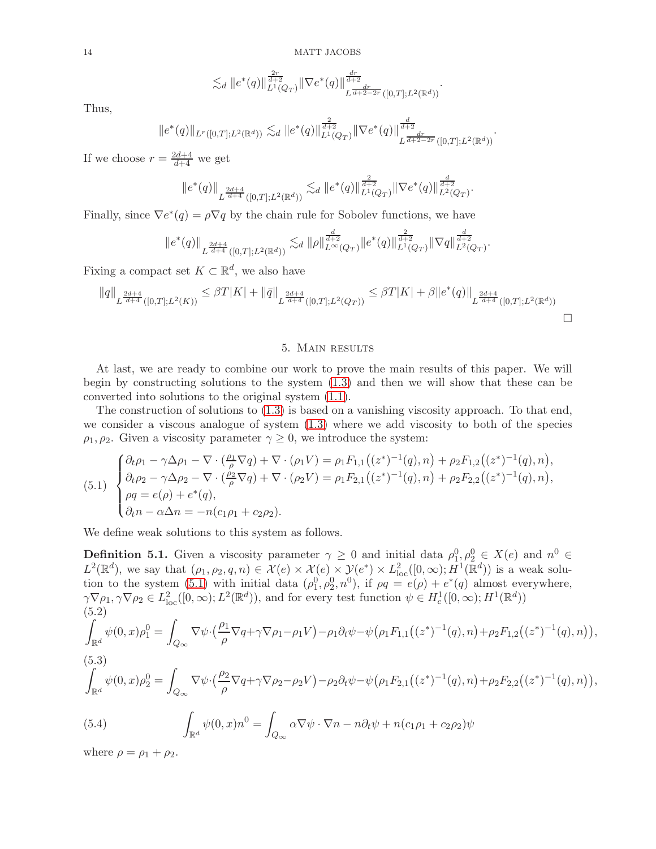$$
\lesssim_d \|e^*(q)\|_{L^1(Q_T)}^{\frac{2r}{d+2}} \|\nabla e^*(q)\|_{L^{\frac{dr}{d+2}-2r}([0,T];L^2(\mathbb{R}^d))}^{\frac{dr}{d+2}}.
$$

Thus,

$$
||e^*(q)||_{L^r([0,T];L^2(\mathbb{R}^d))} \lesssim_d ||e^*(q)||_{L^1(Q_T)}^{\frac{2}{d+2}} ||\nabla e^*(q)||_{L^{\frac{dr}{d+2-2r}}([0,T];L^2(\mathbb{R}^d))}^{\frac{d}{d+2}}.
$$

If we choose  $r = \frac{2d+4}{d+4}$  we get

$$
||e^*(q)||_{L^{\frac{2d+4}{d+4}}([0,T];L^2(\mathbb{R}^d))} \lesssim_d ||e^*(q)||_{L^1(Q_T)}^{\frac{2}{d+2}} ||\nabla e^*(q)||_{L^2(Q_T)}^{\frac{d}{d+2}}.
$$

Finally, since  $\nabla e^*(q) = \rho \nabla q$  by the chain rule for Sobolev functions, we have

$$
||e^*(q)||_{L^{\frac{2d+4}{d+4}}([0,T];L^2(\mathbb{R}^d))} \lesssim_d ||\rho||_{L^{\infty}(Q_T)}^{\frac{d}{d+2}} ||e^*(q)||_{L^1(Q_T)}^{\frac{2}{d+2}} ||\nabla q||_{L^2(Q_T)}^{\frac{d}{d+2}}.
$$

Fixing a compact set  $K \subset \mathbb{R}^d$ , we also have

$$
||q||_{L^{\frac{2d+4}{d+4}}([0,T];L^2(K))} \leq \beta T|K| + ||\bar{q}||_{L^{\frac{2d+4}{d+4}}([0,T];L^2(Q_T))} \leq \beta T|K| + \beta ||e^*(q)||_{L^{\frac{2d+4}{d+4}}([0,T];L^2(\mathbb{R}^d))}
$$

## 5. Main results

<span id="page-13-0"></span>At last, we are ready to combine our work to prove the main results of this paper. We will begin by constructing solutions to the system [\(1.3\)](#page-1-1) and then we will show that these can be converted into solutions to the original system [\(1.1\)](#page-0-0).

The construction of solutions to [\(1.3\)](#page-1-1) is based on a vanishing viscosity approach. To that end, we consider a viscous analogue of system [\(1.3\)](#page-1-1) where we add viscosity to both of the species  $\rho_1, \rho_2$ . Given a viscosity parameter  $\gamma \geq 0$ , we introduce the system:

<span id="page-13-1"></span>
$$
(5.1) \begin{cases} \partial_t \rho_1 - \gamma \Delta \rho_1 - \nabla \cdot (\frac{\rho_1}{\rho} \nabla q) + \nabla \cdot (\rho_1 V) = \rho_1 F_{1,1}((z^*)^{-1}(q), n) + \rho_2 F_{1,2}((z^*)^{-1}(q), n), \\ \partial_t \rho_2 - \gamma \Delta \rho_2 - \nabla \cdot (\frac{\rho_2}{\rho} \nabla q) + \nabla \cdot (\rho_2 V) = \rho_1 F_{2,1}((z^*)^{-1}(q), n) + \rho_2 F_{2,2}((z^*)^{-1}(q), n), \\ \rho q = e(\rho) + e^*(q), \\ \partial_t n - \alpha \Delta n = -n(c_1 \rho_1 + c_2 \rho_2). \end{cases}
$$

We define weak solutions to this system as follows.

<span id="page-13-2"></span>**Definition 5.1.** Given a viscosity parameter  $\gamma \geq 0$  and initial data  $\rho_1^0, \rho_2^0 \in X(e)$  and  $n^0 \in$  $L^2(\mathbb{R}^d)$ , we say that  $(\rho_1, \rho_2, q, n) \in \mathcal{X}(e) \times \mathcal{X}(e) \times \mathcal{Y}(e^*) \times L^2_{loc}([0, \infty); \tilde{H}^1(\mathbb{R}^d))$  is a weak solu-tion to the system [\(5.1\)](#page-13-1) with initial data  $(\rho_1^0, \rho_2^0, n^0)$ , if  $\rho q = e(\rho) + e^*(q)$  almost everywhere,  $\gamma \nabla \rho_1, \gamma \nabla \rho_2 \in L^2_{loc}([0,\infty); L^2(\mathbb{R}^d))$ , and for every test function  $\psi \in H^1_c([0,\infty); H^1(\mathbb{R}^d))$ (5.2) Z  $\int_{\mathbb{R}^d} \psi(0,x)\rho_1^0 = \int$  $Q_{\infty}$  $\nabla \psi \cdot (\frac{\rho_1}{\rho_1})$  $\frac{\partial^1 \rho}{\partial q} \nabla q + \gamma \nabla \rho_1 - \rho_1 V$ ) –  $\rho_1 \partial_t \psi - \psi (\rho_1 F_{1,1}((z^*)^{-1}(q),n) + \rho_2 F_{1,2}((z^*)^{-1}(q),n)),$ (5.3) Z  $\int_{\mathbb{R}^d} \psi(0,x) \rho_2^0 = \int$  $Q_{\infty}$  $\nabla \psi \cdot (\frac{\rho_2}{\rho_1})$  $\frac{\partial^2 \mathcal{L}}{\partial \rho} \nabla q + \gamma \nabla \rho_2 - \rho_2 V) - \rho_2 \partial_t \psi - \psi (\rho_1 F_{2,1}((z^*)^{-1}(q),n) + \rho_2 F_{2,2}((z^*)^{-1}(q),n)),$  $(5.4)$  $\int_{\mathbb{R}^d} \psi(0,x) n^0 = \int$  $Q_{\infty}$  $\alpha \nabla \psi \cdot \nabla n - n \partial_t \psi + n (c_1 \rho_1 + c_2 \rho_2) \psi$ 

<span id="page-13-4"></span><span id="page-13-3"></span>where  $\rho = \rho_1 + \rho_2$ .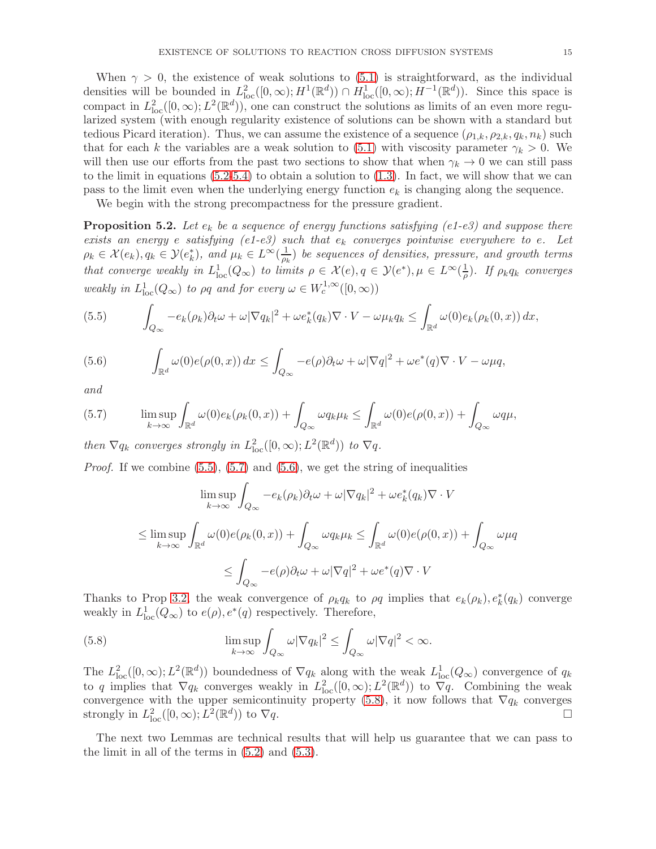When  $\gamma > 0$ , the existence of weak solutions to [\(5.1\)](#page-13-1) is straightforward, as the individual densities will be bounded in  $L^2_{\text{loc}}([0,\infty); H^1(\mathbb{R}^d)) \cap H^1_{\text{loc}}([0,\infty); H^{-1}(\mathbb{R}^d))$ . Since this space is compact in  $L^2_{loc}([0,\infty); L^2(\mathbb{R}^d))$ , one can construct the solutions as limits of an even more regularized system (with enough regularity existence of solutions can be shown with a standard but tedious Picard iteration). Thus, we can assume the existence of a sequence  $(\rho_{1,k}, \rho_{2,k}, q_k, n_k)$  such that for each k the variables are a weak solution to [\(5.1\)](#page-13-1) with viscosity parameter  $\gamma_k > 0$ . We will then use our efforts from the past two sections to show that when  $\gamma_k \to 0$  we can still pass to the limit in equations  $(5.2-5.4)$  $(5.2-5.4)$  to obtain a solution to  $(1.3)$ . In fact, we will show that we can pass to the limit even when the underlying energy function  $e_k$  is changing along the sequence.

We begin with the strong precompactness for the pressure gradient.

<span id="page-14-4"></span>**Proposition 5.2.** Let  $e_k$  be a sequence of energy functions satisfying (e1-e3) and suppose there exists an energy e satisfying (e1-e3) such that  $e_k$  converges pointwise everywhere to e. Let  $\rho_k \in \mathcal{X}(e_k), q_k \in \mathcal{Y}(e_k^*), \text{ and } \mu_k \in L^{\infty}(\frac{1}{\rho_k})$  $\frac{1}{\rho_k}$ ) be sequences of densities, pressure, and growth terms that converge weakly in  $L_{loc}^1(Q_\infty)$  to limits  $\rho \in \mathcal{X}(e), q \in \mathcal{Y}(e^*), \mu \in L^\infty(\frac{1}{\rho})$  $\frac{1}{\rho}$ ). If  $\rho_k q_k$  converges weakly in  $L^1_{loc}(Q_\infty)$  to  $\rho q$  and for every  $\omega \in W^{1,\infty}_c([0,\infty))$ 

<span id="page-14-0"></span>(5.5) 
$$
\int_{Q_{\infty}} -e_k(\rho_k)\partial_t \omega + \omega |\nabla q_k|^2 + \omega e_k^*(q_k)\nabla \cdot V - \omega \mu_k q_k \leq \int_{\mathbb{R}^d} \omega(0)e_k(\rho_k(0,x)) dx,
$$

<span id="page-14-2"></span>(5.6) 
$$
\int_{\mathbb{R}^d} \omega(0) e(\rho(0,x)) dx \leq \int_{Q_{\infty}} -e(\rho) \partial_t \omega + \omega |\nabla q|^2 + \omega e^*(q) \nabla \cdot V - \omega \mu q,
$$

and

<span id="page-14-1"></span>(5.7) 
$$
\limsup_{k \to \infty} \int_{\mathbb{R}^d} \omega(0) e_k(\rho_k(0, x)) + \int_{Q_{\infty}} \omega q_k \mu_k \le \int_{\mathbb{R}^d} \omega(0) e(\rho(0, x)) + \int_{Q_{\infty}} \omega q \mu,
$$

then  $\nabla q_k$  converges strongly in  $L^2_{\text{loc}}([0,\infty);L^2(\mathbb{R}^d))$  to  $\nabla q$ .

*Proof.* If we combine  $(5.5)$ ,  $(5.7)$  and  $(5.6)$ , we get the string of inequalities

$$
\limsup_{k \to \infty} \int_{Q_{\infty}} -e_k(\rho_k)\partial_t \omega + \omega |\nabla q_k|^2 + \omega e_k^*(q_k)\nabla \cdot V
$$
  

$$
\leq \limsup_{k \to \infty} \int_{\mathbb{R}^d} \omega(0)e(\rho_k(0, x)) + \int_{Q_{\infty}} \omega q_k \mu_k \leq \int_{\mathbb{R}^d} \omega(0)e(\rho(0, x)) + \int_{Q_{\infty}} \omega \mu q
$$
  

$$
\leq \int_{Q_{\infty}} -e(\rho)\partial_t \omega + \omega |\nabla q|^2 + \omega e^*(q)\nabla \cdot V
$$

Thanks to Prop [3.2,](#page-7-0) the weak convergence of  $\rho_k q_k$  to  $\rho q$  implies that  $e_k(\rho_k)$ ,  $e_k^*(q_k)$  converge weakly in  $L^1_{loc}(Q_\infty)$  to  $e(\rho), e^*(q)$  respectively. Therefore,

<span id="page-14-3"></span>(5.8) 
$$
\limsup_{k \to \infty} \int_{Q_{\infty}} \omega |\nabla q_k|^2 \leq \int_{Q_{\infty}} \omega |\nabla q|^2 < \infty.
$$

The  $L^2_{\text{loc}}([0,\infty);L^2(\mathbb{R}^d))$  boundedness of  $\nabla q_k$  along with the weak  $L^1_{\text{loc}}(Q_\infty)$  convergence of  $q_k$ to q implies that  $\nabla q_k$  converges weakly in  $L^2_{\text{loc}}([0,\infty);L^2(\mathbb{R}^d))$  to  $\nabla q$ . Combining the weak convergence with the upper semicontinuity property [\(5.8\)](#page-14-3), it now follows that  $\nabla q_k$  converges strongly in  $L^2_{\text{loc}}([0,\infty); L^2(\mathbb{R}^d))$  to  $\nabla q$ .

The next two Lemmas are technical results that will help us guarantee that we can pass to the limit in all of the terms in [\(5.2\)](#page-13-2) and [\(5.3\)](#page-13-4).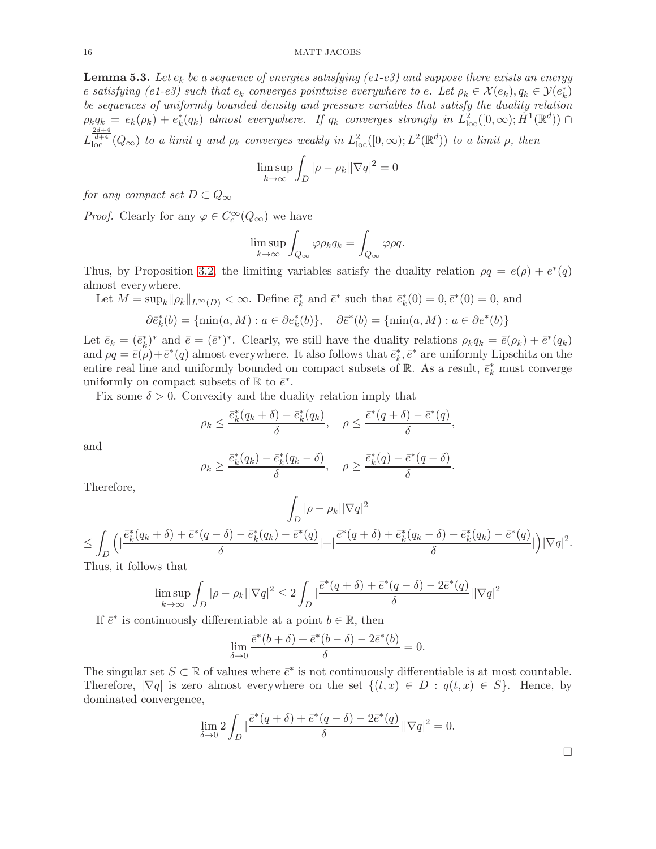#### 16 MATT JACOBS

<span id="page-15-0"></span>**Lemma 5.3.** Let  $e_k$  be a sequence of energies satisfying (e1-e3) and suppose there exists an energy e satisfying (e1-e3) such that  $e_k$  converges pointwise everywhere to e. Let  $\rho_k \in \mathcal{X}(e_k)$ ,  $q_k \in \mathcal{Y}(e_k^*)$ be sequences of uniformly bounded density and pressure variables that satisfy the duality relation  $\rho_k q_k = e_k(\rho_k) + e_k^*(q_k)$  almost everywhere. If  $q_k$  converges strongly in  $L^2_{loc}([0,\infty);\dot{H}^1(\mathbb{R}^d)) \cap$  $L_{\text{loc}}^{\frac{2d+4}{d+4}}(Q_{\infty})$  to a limit q and  $\rho_k$  converges weakly in  $L_{\text{loc}}^2([0,\infty);L^2(\mathbb{R}^d))$  to a limit  $\rho$ , then

$$
\limsup_{k \to \infty} \int_D |\rho - \rho_k| |\nabla q|^2 = 0
$$

for any compact set  $D \subset Q_{\infty}$ 

*Proof.* Clearly for any  $\varphi \in C_c^{\infty}(Q_{\infty})$  we have

$$
\limsup_{k \to \infty} \int_{Q_{\infty}} \varphi \rho_k q_k = \int_{Q_{\infty}} \varphi \rho q.
$$

Thus, by Proposition [3.2,](#page-7-0) the limiting variables satisfy the duality relation  $\rho q = e(\rho) + e^*(q)$ almost everywhere.

Let 
$$
M = \sup_k ||\rho_k||_{L^{\infty}(D)} < \infty
$$
. Define  $\bar{e}_k^*$  and  $\bar{e}^*$  such that  $\bar{e}_k^*(0) = 0, \bar{e}^*(0) = 0$ , and  
\n $\partial \bar{e}_k^*(b) = {\min(a, M) : a \in \partial e_k^*(b)}, \quad \partial \bar{e}^*(b) = {\min(a, M) : a \in \partial e^*(b)}$ 

Let  $\bar{e}_k = (\bar{e}_k^*)^*$  and  $\bar{e} = (\bar{e}^*)^*$ . Clearly, we still have the duality relations  $\rho_k q_k = \bar{e}(\rho_k) + \bar{e}^*(q_k)$ and  $\rho q = \bar{e}(\rho) + \bar{e}^*(q)$  almost everywhere. It also follows that  $\bar{e}_k^*, \bar{e}^*$  are uniformly Lipschitz on the entire real line and uniformly bounded on compact subsets of  $\mathbb{R}$ . As a result,  $\vec{e}_k^*$  must converge uniformly on compact subsets of  $\mathbb R$  to  $\bar{e}^*$ .

Fix some  $\delta > 0$ . Convexity and the duality relation imply that

$$
\rho_k \le \frac{\bar{e}_k^*(q_k + \delta) - \bar{e}_k^*(q_k)}{\delta}, \quad \rho \le \frac{\bar{e}^*(q + \delta) - \bar{e}^*(q)}{\delta}
$$

,

and

$$
\rho_k \ge \frac{\bar{e}_k^*(q_k) - \bar{e}_k^*(q_k - \delta)}{\delta}, \quad \rho \ge \frac{\bar{e}_k^*(q) - \bar{e}^*(q - \delta)}{\delta}.
$$

Therefore,

$$
\int_{D} |\rho - \rho_k| |\nabla q|^2
$$
\n
$$
\leq \int_{D} \left( |\frac{\bar{e}_k^*(q_k + \delta) + \bar{e}^*(q - \delta) - \bar{e}_k^*(q_k) - \bar{e}^*(q)}{\delta} | + |\frac{\bar{e}^*(q + \delta) + \bar{e}_k^*(q_k - \delta) - \bar{e}_k^*(q_k) - \bar{e}^*(q)}{\delta} | \right) |\nabla q|^2.
$$
\nThus,  $\int_{D} |\partial f| \leq \int_{D} |\partial f| \leq \int_{D} |\partial f| \leq \int_{D} |\partial f| \leq \int_{D} |\partial f| \leq \int_{D} |\partial f| \leq \int_{D} |\partial f| \leq \int_{D} |\partial f| \leq \int_{D} |\partial f| \leq \int_{D} |\partial f| \leq \int_{D} |\partial f| \leq \int_{D} |\partial f| \leq \int_{D} |\partial f| \leq \int_{D} |\partial f| \leq \int_{D} |\partial f| \leq \int_{D} |\partial f| \leq \int_{D} |\partial f| \leq \int_{D} |\partial f| \leq \int_{D} |\partial f| \leq \int_{D} |\partial f| \leq \int_{D} |\partial f| \leq \int_{D} |\partial f| \leq \int_{D} |\partial f| \leq \int_{D} |\partial f| \leq \int_{D} |\partial f| \leq \int_{D} |\partial f| \leq \int_{D} |\partial f| \leq \int_{D} |\partial f| \leq \int_{D} |\partial f| \leq \int_{D} |\partial f| \leq \int_{D} |\partial f| \leq \int_{D} |\partial f| \leq \int_{D} |\partial f| \leq \int_{D} |\partial f| \leq \int_{D} |\partial f| \leq \int_{D} |\partial f| \leq \int_{D} |\partial f| \leq \int_{D} |\partial f| \leq \int_{D} |\partial f| \leq \int_{D} |\partial f| \leq \int_{D} |\partial f| \leq \int_{D} |\partial f| \leq \int_{D} |\partial f| \leq \int_{D} |\partial f| \leq \int_{D} |\partial f| \leq \int_{D} |\partial f| \leq \int_{D} |\partial f| \leq \int_{D} |\partial f| \leq \int_{D} |\partial f| \leq \int_{D$ 

Thus, it follows that

$$
\limsup_{k \to \infty} \int_D |\rho - \rho_k| |\nabla q|^2 \le 2 \int_D |\frac{\bar{e}^*(q+\delta) + \bar{e}^*(q-\delta) - 2\bar{e}^*(q)}{\delta}||\nabla q|^2
$$

If  $\bar{e}^*$  is continuously differentiable at a point  $b \in \mathbb{R}$ , then

$$
\lim_{\delta \to 0} \frac{\bar{e}^*(b+\delta) + \bar{e}^*(b-\delta) - 2\bar{e}^*(b)}{\delta} = 0.
$$

The singular set  $S \subset \mathbb{R}$  of values where  $\bar{e}^*$  is not continuously differentiable is at most countable. Therefore,  $|\nabla q|$  is zero almost everywhere on the set  $\{(t, x) \in D : q(t, x) \in S\}$ . Hence, by dominated convergence,

$$
\lim_{\delta \to 0} 2 \int_D |\frac{\bar{e}^*(q+\delta) + \bar{e}^*(q-\delta) - 2\bar{e}^*(q)}{\delta}||\nabla q|^2 = 0.
$$

 $\Box$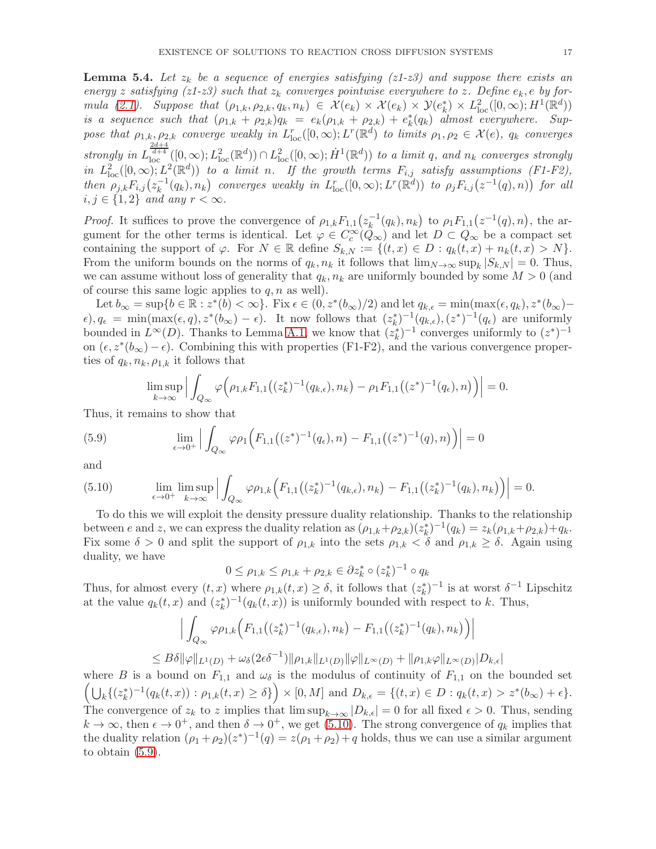<span id="page-16-2"></span>**Lemma 5.4.** Let  $z_k$  be a sequence of energies satisfying ( $z1-z3$ ) and suppose there exists an energy z satisfying (z1-z3) such that  $z_k$  converges pointwise everywhere to z. Define  $e_k$ , e by for-mula [\(2.1\)](#page-5-0). Suppose that  $(\rho_{1,k}, \rho_{2,k}, q_k, n_k) \in \mathcal{X}(e_k) \times \mathcal{X}(e_k) \times \mathcal{Y}(e_k^*) \times L^2_{loc}([0, \infty); H^1(\mathbb{R}^d))$ is a sequence such that  $(\rho_{1,k} + \rho_{2,k})q_k = e_k(\rho_{1,k} + \rho_{2,k}) + e_k^*(q_k)$  almost everywhere. Suppose that  $\rho_{1,k}, \rho_{2,k}$  converge weakly in  $L_{loc}^r([0,\infty); L^r(\mathbb{R}^d)$  to limits  $\rho_1, \rho_2 \in \mathcal{X}(e)$ ,  $q_k$  converges strongly in  $L_{\text{loc}}^{\frac{2d+4}{d+4}}([0,\infty);L_{\text{loc}}^2(\mathbb{R}^d)) \cap L_{\text{loc}}^2([0,\infty); \dot{H}^1(\mathbb{R}^d))$  to a limit q, and  $n_k$  converges strongly in  $L^2_{\text{loc}}([0,\infty);L^2(\mathbb{R}^d))$  to a limit n. If the growth terms  $F_{i,j}$  satisfy assumptions (F1-F2), then  $\rho_{j,k} F_{i,j} (z_k^{-1})$  $\mathcal{L}^{-1}_k(q_k), n_k$ ) converges weakly in  $L^r_{loc}([0,\infty); L^r(\mathbb{R}^d))$  to  $\rho_j F_{i,j}(z^{-1}(q),n)$ ) for all  $i, j \in \{1, 2\}$  and any  $r < \infty$ .

*Proof.* It suffices to prove the convergence of  $\rho_{1,k} F_{1,1} (z_k^{-1})$  $\kappa_k^{-1}(q_k), n_k$ ) to  $\rho_1 F_{1,1}(z^{-1}(q), n)$ , the argument for the other terms is identical. Let  $\varphi \in C_c^{\infty}(\mathcal{Q}_{\infty})$  and let  $D \subset \mathcal{Q}_{\infty}$  be a compact set containing the support of  $\varphi$ . For  $N \in \mathbb{R}$  define  $S_{k,N} := \{(t,x) \in D : q_k(t,x) + n_k(t,x) > N\}.$ From the uniform bounds on the norms of  $q_k, n_k$  it follows that  $\lim_{N\to\infty} \sup_k |S_{k,N}| = 0$ . Thus, we can assume without loss of generality that  $q_k, n_k$  are uniformly bounded by some  $M > 0$  (and of course this same logic applies to  $q, n$  as well).

Let  $b_{\infty} = \sup\{b \in \mathbb{R} : z^*(b) < \infty\}$ . Fix  $\epsilon \in (0, z^*(b_{\infty})/2)$  and let  $q_{k,\epsilon} = \min(\max(\epsilon, q_k), z^*(b_{\infty}) \epsilon$ ,  $q_{\epsilon} = \min(\max(\epsilon, q), z^*(b_{\infty}) - \epsilon)$ . It now follows that  $(z_k^*)^{-1}(q_{k,\epsilon}), (z^*)^{-1}(q_{\epsilon})$  are uniformly bounded in  $L^{\infty}(D)$ . Thanks to Lemma [A.1,](#page-22-0) we know that  $(z_k^*)^{-1}$  converges uniformly to  $(z^*)^{-1}$ on  $(\epsilon, z^*(b_{\infty}) - \epsilon)$ . Combining this with properties (F1-F2), and the various convergence properties of  $q_k, n_k, \rho_{1,k}$  it follows that

<span id="page-16-1"></span>
$$
\limsup_{k\to\infty}\Big|\int_{Q_{\infty}}\varphi\Big(\rho_{1,k}F_{1,1}\big((z_k^*)^{-1}(q_{k,\epsilon}),n_k\big)-\rho_1F_{1,1}\big((z^*)^{-1}(q_{\epsilon}),n\big)\Big)\Big|=0.
$$

Thus, it remains to show that

(5.9) 
$$
\lim_{\epsilon \to 0^+} \left| \int_{Q_{\infty}} \varphi \rho_1 \Big( F_{1,1} \big( (z^*)^{-1} (q_\epsilon), n \big) - F_{1,1} \big( (z^*)^{-1} (q), n \big) \Big) \right| = 0
$$

and

<span id="page-16-0"></span>
$$
(5.10) \qquad \lim_{\epsilon \to 0^+} \limsup_{k \to \infty} \Big| \int_{Q_{\infty}} \varphi \rho_{1,k} \Big( F_{1,1} \big( (z_k^*)^{-1} (q_{k,\epsilon}), n_k \big) - F_{1,1} \big( (z_k^*)^{-1} (q_k), n_k \big) \Big) \Big| = 0.
$$

To do this we will exploit the density pressure duality relationship. Thanks to the relationship between e and z, we can express the duality relation as  $(\rho_{1,k} + \rho_{2,k})(z_k^*)^{-1}(q_k) = z_k(\rho_{1,k} + \rho_{2,k}) + q_k$ . Fix some  $\delta > 0$  and split the support of  $\rho_{1,k}$  into the sets  $\rho_{1,k} < \delta$  and  $\rho_{1,k} \geq \delta$ . Again using duality, we have

$$
0 \le \rho_{1,k} \le \rho_{1,k} + \rho_{2,k} \in \partial z_k^* \circ (z_k^*)^{-1} \circ q_k
$$

Thus, for almost every  $(t, x)$  where  $\rho_{1,k}(t, x) \ge \delta$ , it follows that  $(z_k^*)^{-1}$  is at worst  $\delta^{-1}$  Lipschitz at the value  $q_k(t, x)$  and  $(z_k^*)^{-1}(q_k(t, x))$  is uniformly bounded with respect to k. Thus,

$$
\left| \int_{Q_{\infty}} \varphi \rho_{1,k} \Big( F_{1,1} \big( (z_k^*)^{-1} (q_{k,\epsilon}), n_k \big) - F_{1,1} \big( (z_k^*)^{-1} (q_k), n_k \big) \Big) \right|
$$
  
\n
$$
\leq B \delta \|\varphi\|_{L^1(D)} + \omega_{\delta} (2\epsilon \delta^{-1}) \|\rho_{1,k}\|_{L^1(D)} \|\varphi\|_{L^{\infty}(D)} + \|\rho_{1,k}\varphi\|_{L^{\infty}(D)} |D_{k,\epsilon}|
$$

where B is a bound on  $F_{1,1}$  and  $\omega_{\delta}$  is the modulus of continuity of  $F_{1,1}$  on the bounded set  $\left(\bigcup_{k} \{(z_k^*)^{-1}(q_k(t,x)) : \rho_{1,k}(t,x) \ge \delta\}\right) \times [0,M] \text{ and } D_{k,\epsilon} = \{(t,x) \in D : q_k(t,x) > z^*(b_{\infty}) + \epsilon\}.$ The convergence of  $z_k$  to z implies that  $\limsup_{k\to\infty} |D_{k,\epsilon}| = 0$  for all fixed  $\epsilon > 0$ . Thus, sending  $k \to \infty$ , then  $\epsilon \to 0^+$ , and then  $\delta \to 0^+$ , we get [\(5.10\)](#page-16-0). The strong convergence of  $q_k$  implies that the duality relation  $(\rho_1 + \rho_2)(z^*)^{-1}(q) = z(\rho_1 + \rho_2) + q$  holds, thus we can use a similar argument to obtain [\(5.9\)](#page-16-1).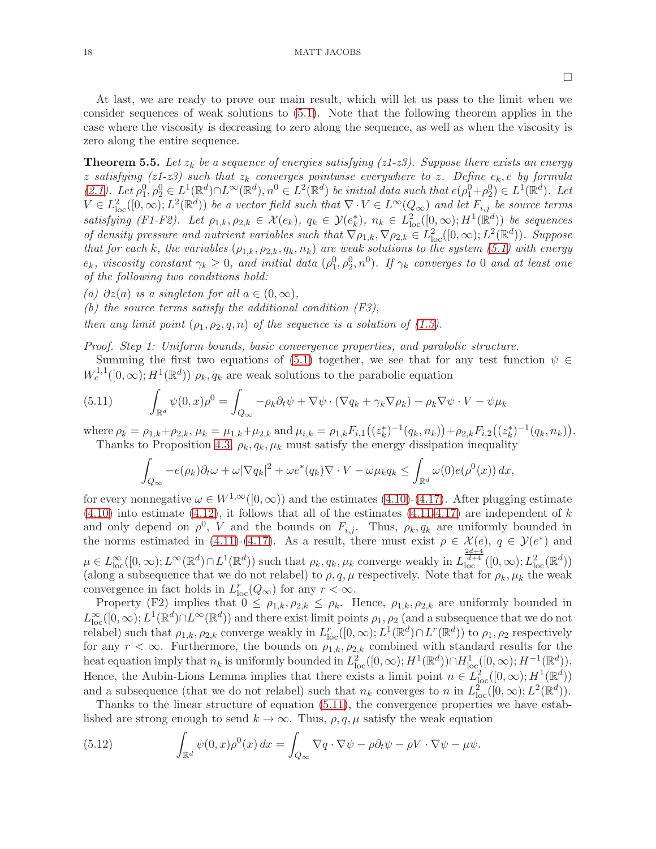At last, we are ready to prove our main result, which will let us pass to the limit when we consider sequences of weak solutions to [\(5.1\)](#page-13-1). Note that the following theorem applies in the case where the viscosity is decreasing to zero along the sequence, as well as when the viscosity is zero along the entire sequence.

<span id="page-17-0"></span>**Theorem 5.5.** Let  $z_k$  be a sequence of energies satisfying ( $z1-z3$ ). Suppose there exists an energy z satisfying (z1-z3) such that  $z_k$  converges pointwise everywhere to z. Define  $e_k$ , e by formula  $(2.1)$ . Let  $\rho_1^0, \rho_2^0 \in L^1(\mathbb{R}^d) \cap L^\infty(\mathbb{R}^d), n^0 \in L^2(\mathbb{R}^d)$  be initial data such that  $e(\rho_1^0 + \rho_2^0) \in L^1(\mathbb{R}^d)$ . Let  $V \in L^2_{loc}([0,\infty); L^2(\mathbb{R}^d))$  be a vector field such that  $\nabla \cdot V \in L^{\infty}(Q_{\infty})$  and let  $F_{i,j}$  be source terms satisfying (F1-F2). Let  $\rho_{1,k}, \rho_{2,k} \in \mathcal{X}(e_k)$ ,  $q_k \in \mathcal{Y}(e_k^*)$ ,  $n_k \in L^2_{loc}([0,\infty); H^1(\mathbb{R}^d))$  be sequences of density pressure and nutrient variables such that  $\nabla \rho_{1,k}, \nabla \rho_{2,k} \in L^2_{loc}([0,\infty); L^2(\mathbb{R}^d))$ . Suppose that for each k, the variables  $(\rho_{1,k}, \rho_{2,k}, q_k, n_k)$  are weak solutions to the system [\(5.1\)](#page-13-1) with energy  $e_k$ , viscosity constant  $\gamma_k \geq 0$ , and initial data  $(\rho_1^0, \rho_2^0, n^0)$ . If  $\gamma_k$  converges to 0 and at least one of the following two conditions hold:

<span id="page-17-4"></span><span id="page-17-3"></span>(a)  $\partial z(a)$  is a singleton for all  $a \in (0,\infty)$ ,

(b) the source terms satisfy the additional condition  $(F3)$ ,

then any limit point  $(\rho_1, \rho_2, q, n)$  of the sequence is a solution of [\(1.3\)](#page-1-1).

Proof. Step 1: Uniform bounds, basic convergence properties, and parabolic structure.

Summing the first two equations of [\(5.1\)](#page-13-1) together, we see that for any test function  $\psi \in$  $W_c^{1,1}([0,\infty); H^1(\mathbb{R}^d))$   $\rho_k, q_k$  are weak solutions to the parabolic equation

<span id="page-17-1"></span>(5.11) 
$$
\int_{\mathbb{R}^d} \psi(0, x) \rho^0 = \int_{Q_{\infty}} -\rho_k \partial_t \psi + \nabla \psi \cdot (\nabla q_k + \gamma_k \nabla \rho_k) - \rho_k \nabla \psi \cdot V - \psi \mu_k
$$

where  $\rho_k = \rho_{1,k} + \rho_{2,k}, \mu_k = \mu_{1,k} + \mu_{2,k}$  and  $\mu_{i,k} = \rho_{1,k} F_{i,1}((z_k^*)^{-1}(q_k, n_k)) + \rho_{2,k} F_{i,2}((z_k^*)^{-1}(q_k, n_k)).$ Thanks to Proposition [4.3,](#page-10-1)  $\rho_k, q_k, \mu_k$  must satisfy the energy dissipation inequality

$$
\int_{Q_{\infty}} -e(\rho_k)\partial_t \omega + \omega |\nabla q_k|^2 + \omega e^*(q_k)\nabla \cdot V - \omega \mu_k q_k \le \int_{\mathbb{R}^d} \omega(0)e(\rho^0(x)) dx,
$$

for every nonnegative  $\omega \in W^{1,\infty}([0,\infty))$  and the estimates  $(4.10)-(4.17)$  $(4.10)-(4.17)$ . After plugging estimate  $(4.10)$  into estimate  $(4.12)$ , it follows that all of the estimates  $(4.11-4.17)$  $(4.11-4.17)$  are independent of k and only depend on  $\rho^0$ , V and the bounds on  $F_{i,j}$ . Thus,  $\rho_k$ ,  $q_k$  are uniformly bounded in the norms estimated in [\(4.11\)](#page-11-2)-[\(4.17\)](#page-11-7). As a result, there must exist  $\rho \in \mathcal{X}(e)$ ,  $q \in \mathcal{Y}(e^*)$  and  $\mu \in L^{\infty}_{loc}([0,\infty); L^{\infty}(\mathbb{R}^d) \cap L^{1}(\mathbb{R}^d))$  such that  $\rho_k, q_k, \mu_k$  converge weakly in  $L^{2d+4}_{loc}([0,\infty); L^{2}_{loc}(\mathbb{R}^d))$ (along a subsequence that we do not relabel) to  $\rho$ ,  $q$ ,  $\mu$  respectively. Note that for  $\rho_k$ ,  $\mu_k$  the weak convergence in fact holds in  $L_{loc}^r(Q_\infty)$  for any  $r < \infty$ .

Property (F2) implies that  $0 \leq \rho_{1,k}, \rho_{2,k} \leq \rho_k$ . Hence,  $\rho_{1,k}, \rho_{2,k}$  are uniformly bounded in  $L^{\infty}_{loc}([0,\infty); L^{1}(\mathbb{R}^d)\cap L^{\infty}(\mathbb{R}^d))$  and there exist limit points  $\rho_1, \rho_2$  (and a subsequence that we do not relabel) such that  $\rho_{1,k}, \rho_{2,k}$  converge weakly in  $L_{loc}^r([0,\infty); L^1(\mathbb{R}^d) \cap L^r(\mathbb{R}^d)$  to  $\rho_1, \rho_2$  respectively for any  $r < \infty$ . Furthermore, the bounds on  $\rho_{1,k}, \rho_{2,k}$  combined with standard results for the heat equation imply that  $n_k$  is uniformly bounded in  $L^2_{\text{loc}}([0,\infty); H^1(\mathbb{R}^d)) \cap H^1_{\text{loc}}([0,\infty); H^{-1}(\mathbb{R}^d))$ . Hence, the Aubin-Lions Lemma implies that there exists a limit point  $n \in L^2_{loc}([0,\infty); H^1(\mathbb{R}^d))$ and a subsequence (that we do not relabel) such that  $n_k$  converges to n in  $L^2_{\text{loc}}([0,\infty);L^2(\mathbb{R}^d))$ .

Thanks to the linear structure of equation [\(5.11\)](#page-17-1), the convergence properties we have established are strong enough to send  $k \to \infty$ . Thus,  $\rho, q, \mu$  satisfy the weak equation

<span id="page-17-2"></span>(5.12) 
$$
\int_{\mathbb{R}^d} \psi(0, x) \rho^0(x) dx = \int_{Q_\infty} \nabla q \cdot \nabla \psi - \rho \partial_t \psi - \rho V \cdot \nabla \psi - \mu \psi.
$$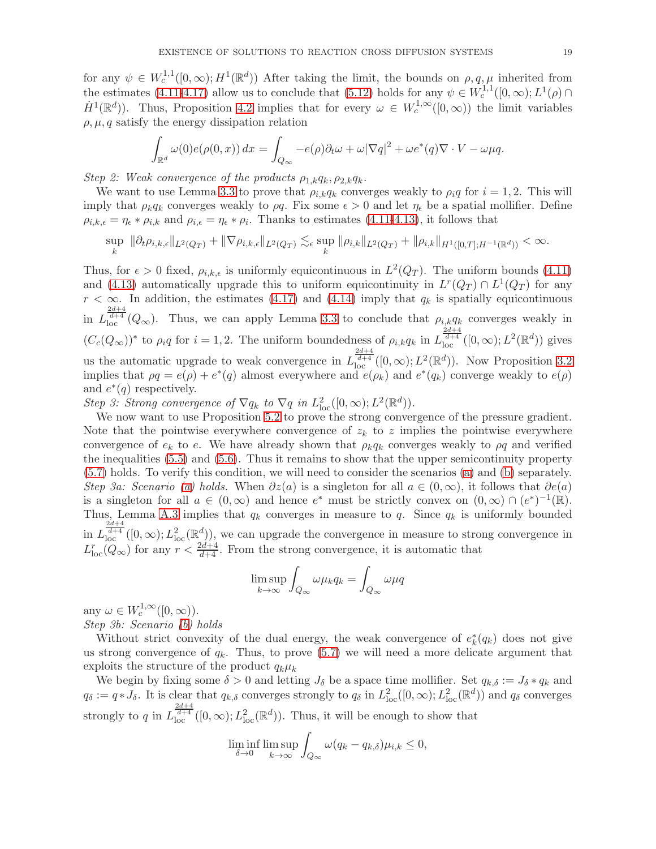for any  $\psi \in W_c^{1,1}([0,\infty); H^1(\mathbb{R}^d))$  After taking the limit, the bounds on  $\rho, q, \mu$  inherited from the estimates [\(4.11-](#page-11-2)[4.17\)](#page-11-7) allow us to conclude that [\(5.12\)](#page-17-2) holds for any  $\psi \in W_c^{1,1}([0,\infty); L^1(\rho) \cap$  $\dot{H}^1(\mathbb{R}^d)$ ). Thus, Proposition [4.2](#page-9-3) implies that for every  $\omega \in W_c^{1,\infty}([0,\infty))$  the limit variables  $\rho, \mu, q$  satisfy the energy dissipation relation

$$
\int_{\mathbb{R}^d} \omega(0) e(\rho(0, x)) dx = \int_{Q_{\infty}} -e(\rho)\partial_t \omega + \omega |\nabla q|^2 + \omega e^*(q) \nabla \cdot V - \omega \mu q.
$$

Step 2: Weak convergence of the products  $\rho_{1,k}q_k, \rho_{2,k}q_k$ .

We want to use Lemma [3.3](#page-8-0) to prove that  $\rho_{i,k}q_k$  converges weakly to  $\rho_i q$  for  $i = 1, 2$ . This will imply that  $\rho_k q_k$  converges weakly to  $\rho q$ . Fix some  $\epsilon > 0$  and let  $\eta_{\epsilon}$  be a spatial mollifier. Define  $\rho_{i,k,\epsilon} = \eta_{\epsilon} * \rho_{i,k}$  and  $\rho_{i,\epsilon} = \eta_{\epsilon} * \rho_i$ . Thanks to estimates [\(4.11-](#page-11-2)[4.13\)](#page-11-5), it follows that

$$
\sup_{k} \|\partial_t \rho_{i,k,\epsilon}\|_{L^2(Q_T)} + \|\nabla \rho_{i,k,\epsilon}\|_{L^2(Q_T)} \lesssim_{\epsilon} \sup_{k} \|\rho_{i,k}\|_{L^2(Q_T)} + \|\rho_{i,k}\|_{H^1([0,T];H^{-1}(\mathbb{R}^d))} < \infty.
$$

Thus, for  $\epsilon > 0$  fixed,  $\rho_{i,k,\epsilon}$  is uniformly equicontinuous in  $L^2(Q_T)$ . The uniform bounds [\(4.11\)](#page-11-2) and [\(4.13\)](#page-11-5) automatically upgrade this to uniform equicontinuity in  $L^r(Q_T) \cap L^1(Q_T)$  for any  $r < \infty$ . In addition, the estimates [\(4.17\)](#page-11-7) and [\(4.14\)](#page-11-6) imply that  $q_k$  is spatially equicontinuous in  $L_{\text{loc}}^{\frac{2d+4}{d+4}}(Q_{\infty})$ . Thus, we can apply Lemma [3.3](#page-8-0) to conclude that  $\rho_{i,k}q_k$  converges weakly in  $(C_c(Q_\infty))^*$  to  $\rho_i q$  for  $i = 1, 2$ . The uniform boundedness of  $\rho_{i,k} q_k$  in  $L_{\text{loc}}^{\frac{2d+4}{d+4}}([0, \infty); L^2(\mathbb{R}^d))$  gives us the automatic upgrade to weak convergence in  $L_{\text{loc}}^{\frac{2d+4}{d+4}}([0,\infty);L^2(\mathbb{R}^d))$ . Now Proposition [3.2](#page-7-0) implies that  $\rho q = e(\rho) + e^*(q)$  almost everywhere and  $e(\rho_k)$  and  $e^*(q_k)$  converge weakly to  $e(\rho)$ and  $e^*(q)$  respectively.

Step 3: Strong convergence of  $\nabla q_k$  to  $\nabla q$  in  $L^2_{loc}([0,\infty); L^2(\mathbb{R}^d))$ .

We now want to use Proposition [5.2](#page-14-4) to prove the strong convergence of the pressure gradient. Note that the pointwise everywhere convergence of  $z_k$  to z implies the pointwise everywhere convergence of  $e_k$  to e. We have already shown that  $\rho_k q_k$  converges weakly to  $\rho q$  and verified the inequalities [\(5.5\)](#page-14-0) and [\(5.6\)](#page-14-2). Thus it remains to show that the upper semicontinuity property [\(5.7\)](#page-14-1) holds. To verify this condition, we will need to consider the scenarios [\(a\)](#page-17-3) and [\(b\)](#page-17-4) separately. Step 3a: Scenario [\(a\)](#page-17-3) holds. When  $\partial z(a)$  is a singleton for all  $a \in (0,\infty)$ , it follows that  $\partial e(a)$ is a singleton for all  $a \in (0,\infty)$  and hence  $e^*$  must be strictly convex on  $(0,\infty) \cap (e^*)^{-1}(\mathbb{R})$ . Thus, Lemma [A.3](#page-23-0) implies that  $q_k$  converges in measure to  $q$ . Since  $q_k$  is uniformly bounded in  $L_{\text{loc}}^{\frac{2d+4}{d+4}}([0,\infty);L_{\text{loc}}^2(\mathbb{R}^d))$ , we can upgrade the convergence in measure to strong convergence in  $L_{\text{loc}}^r(Q_\infty)$  for any  $r < \frac{2d+4}{d+4}$ . From the strong convergence, it is automatic that

$$
\limsup_{k \to \infty} \int_{Q_{\infty}} \omega \mu_k q_k = \int_{Q_{\infty}} \omega \mu q
$$

any  $\omega \in W_c^{1,\infty}([0,\infty))$ . Step 3b: Scenario [\(b\)](#page-17-4) holds

Without strict convexity of the dual energy, the weak convergence of  $e_k^*(q_k)$  does not give us strong convergence of  $q_k$ . Thus, to prove [\(5.7\)](#page-14-1) we will need a more delicate argument that exploits the structure of the product  $q_k\mu_k$ 

We begin by fixing some  $\delta > 0$  and letting  $J_{\delta}$  be a space time mollifier. Set  $q_{k,\delta} := J_{\delta} * q_k$  and  $q_\delta := q * J_\delta$ . It is clear that  $q_{k,\delta}$  converges strongly to  $q_\delta$  in  $L^2_{\text{loc}}([0,\infty); L^2_{\text{loc}}(\mathbb{R}^d))$  and  $q_\delta$  converges strongly to q in  $L_{\text{loc}}^{\frac{2d+4}{d+4}}([0,\infty);L_{\text{loc}}^2(\mathbb{R}^d))$ . Thus, it will be enough to show that

$$
\liminf_{\delta \to 0} \limsup_{k \to \infty} \int_{Q_{\infty}} \omega(q_k - q_{k,\delta}) \mu_{i,k} \le 0,
$$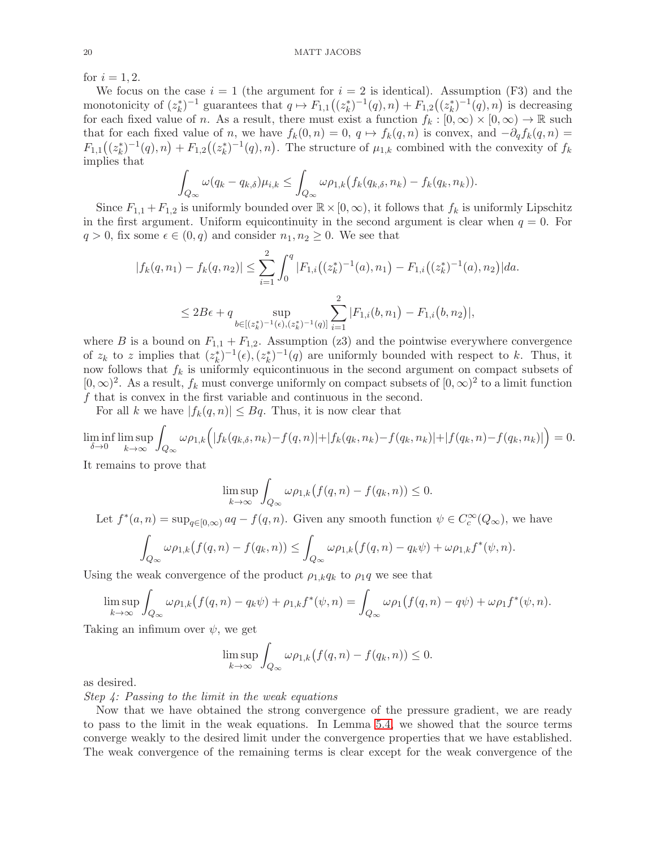for  $i = 1, 2$ .

We focus on the case  $i = 1$  (the argument for  $i = 2$  is identical). Assumption (F3) and the monotonicity of  $(z_k^*)^{-1}$  guarantees that  $q \mapsto F_{1,1}((z_k^*)^{-1}(q), n) + F_{1,2}((z_k^*)^{-1}(q), n)$  is decreasing for each fixed value of n. As a result, there must exist a function  $f_k : [0, \infty) \times [0, \infty) \to \mathbb{R}$  such that for each fixed value of n, we have  $f_k(0, n) = 0$ ,  $q \mapsto f_k(q, n)$  is convex, and  $-\partial_q f_k(q, n) =$  $F_{1,1}((z_k^*)^{-1}(q),n)+F_{1,2}((z_k^*)^{-1}(q),n)$ . The structure of  $\mu_{1,k}$  combined with the convexity of  $f_k$ implies that

$$
\int_{Q_{\infty}} \omega(q_k - q_{k,\delta}) \mu_{i,k} \leq \int_{Q_{\infty}} \omega \rho_{1,k} (f_k(q_{k,\delta}, n_k) - f_k(q_k, n_k)).
$$

Since  $F_{1,1} + F_{1,2}$  is uniformly bounded over  $\mathbb{R} \times [0,\infty)$ , it follows that  $f_k$  is uniformly Lipschitz in the first argument. Uniform equicontinuity in the second argument is clear when  $q = 0$ . For  $q > 0$ , fix some  $\epsilon \in (0, q)$  and consider  $n_1, n_2 \geq 0$ . We see that

$$
|f_k(q, n_1) - f_k(q, n_2)| \le \sum_{i=1}^2 \int_0^q |F_{1,i}((z_k^*)^{-1}(a), n_1) - F_{1,i}((z_k^*)^{-1}(a), n_2)| da.
$$
  

$$
\le 2B\epsilon + q \sup_{b \in [(z_k^*)^{-1}(e), (z_k^*)^{-1}(q)]} \sum_{i=1}^2 |F_{1,i}(b, n_1) - F_{1,i}(b, n_2)|,
$$

where B is a bound on  $F_{1,1} + F_{1,2}$ . Assumption (z3) and the pointwise everywhere convergence of  $z_k$  to z implies that  $(z_k^*)^{-1}(\epsilon), (z_k^*)^{-1}(q)$  are uniformly bounded with respect to k. Thus, it now follows that  $f_k$  is uniformly equicontinuous in the second argument on compact subsets of  $[0, \infty)^2$ . As a result,  $f_k$  must converge uniformly on compact subsets of  $[0, \infty)^2$  to a limit function f that is convex in the first variable and continuous in the second.

For all k we have  $|f_k(q, n)| \leq Bq$ . Thus, it is now clear that

$$
\liminf_{\delta \to 0} \limsup_{k \to \infty} \int_{Q_{\infty}} \omega \rho_{1,k} \Big( |f_k(q_{k,\delta}, n_k) - f(q, n)| + |f_k(q_k, n_k) - f(q_k, n_k)| + |f(q_k, n) - f(q_k, n_k)| \Big) = 0.
$$

It remains to prove that

$$
\limsup_{k \to \infty} \int_{Q_{\infty}} \omega \rho_{1,k} (f(q, n) - f(q_k, n)) \le 0.
$$

Let 
$$
f^*(a, n) = \sup_{q \in [0, \infty)} aq - f(q, n)
$$
. Given any smooth function  $\psi \in C_c^{\infty}(Q_{\infty})$ , we have\n
$$
\int_{Q_{\infty}} \omega \rho_{1,k}(f(q, n) - f(q_k, n)) \le \int_{Q_{\infty}} \omega \rho_{1,k}(f(q, n) - q_k \psi) + \omega \rho_{1,k} f^*(\psi, n).
$$

Using the weak convergence of the product  $\rho_{1,k}q_k$  to  $\rho_1q$  we see that

$$
\limsup_{k \to \infty} \int_{Q_{\infty}} \omega \rho_{1,k}(f(q,n) - q_k \psi) + \rho_{1,k} f^*(\psi, n) = \int_{Q_{\infty}} \omega \rho_1(f(q,n) - q\psi) + \omega \rho_1 f^*(\psi, n).
$$

Taking an infimum over  $\psi$ , we get

$$
\limsup_{k \to \infty} \int_{Q_{\infty}} \omega \rho_{1,k} (f(q, n) - f(q_k, n)) \le 0.
$$

as desired.

Step 4: Passing to the limit in the weak equations

Now that we have obtained the strong convergence of the pressure gradient, we are ready to pass to the limit in the weak equations. In Lemma [5.4,](#page-16-2) we showed that the source terms converge weakly to the desired limit under the convergence properties that we have established. The weak convergence of the remaining terms is clear except for the weak convergence of the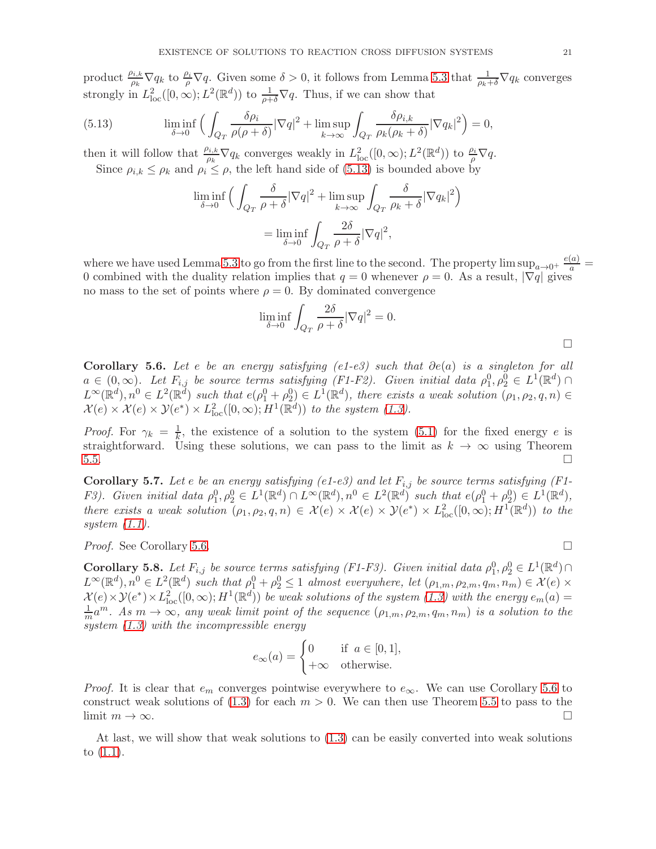product  $\frac{\rho_{i,k}}{\rho_k} \nabla q_k$  to  $\frac{\rho_i}{\rho} \nabla q$ . Given some  $\delta > 0$ , it follows from Lemma [5.3](#page-15-0) that  $\frac{1}{\rho_k+\delta} \nabla q_k$  converges strongly in  $L^2_{\text{loc}}([0,\infty); L^2(\mathbb{R}^d))$  to  $\frac{1}{\rho+\delta}\nabla q$ . Thus, if we can show that

(5.13) 
$$
\liminf_{\delta \to 0} \left( \int_{Q_T} \frac{\delta \rho_i}{\rho(\rho + \delta)} |\nabla q|^2 + \limsup_{k \to \infty} \int_{Q_T} \frac{\delta \rho_{i,k}}{\rho_k(\rho_k + \delta)} |\nabla q_k|^2 \right) = 0,
$$

then it will follow that  $\frac{\rho_{i,k}}{\rho_k} \nabla q_k$  converges weakly in  $L^2_{\text{loc}}([0,\infty);L^2(\mathbb{R}^d))$  to  $\frac{\rho_i}{\rho} \nabla q$ . Since  $\rho_{i,k} \leq \rho_k$  and  $\rho_i \leq \rho$ , the left hand side of [\(5.13\)](#page-20-0) is bounded above by

<span id="page-20-0"></span>
$$
\liminf_{\delta \to 0} \Big( \int_{Q_T} \frac{\delta}{\rho + \delta} |\nabla q|^2 + \limsup_{k \to \infty} \int_{Q_T} \frac{\delta}{\rho_k + \delta} |\nabla q_k|^2 \Big) \n= \liminf_{\delta \to 0} \int_{Q_T} \frac{2\delta}{\rho + \delta} |\nabla q|^2,
$$

where we have used Lemma [5.3](#page-15-0) to go from the first line to the second. The property  $\limsup_{a\to 0^+} \frac{e(a)}{a}$ 0 combined with the duality relation implies that  $q = 0$  whenever  $\rho = 0$ . As a result,  $|\nabla q|$  gives no mass to the set of points where  $\rho = 0$ . By dominated convergence

$$
\liminf_{\delta \to 0} \int_{Q_T} \frac{2\delta}{\rho + \delta} |\nabla q|^2 = 0.
$$

<span id="page-20-1"></span>Corollary 5.6. Let e be an energy satisfying (e1-e3) such that  $\partial e(a)$  is a singleton for all  $a \in (0,\infty)$ . Let  $F_{i,j}$  be source terms satisfying (F1-F2). Given initial data  $\rho_1^0, \rho_2^0 \in L^1(\mathbb{R}^d)$  $L^{\infty}(\mathbb{R}^d), n^0 \in L^2(\mathbb{R}^d)$  such that  $e(\rho_1^0 + \rho_2^0) \in L^1(\mathbb{R}^d)$ , there exists a weak solution  $(\rho_1, \rho_2, q, n) \in$  $\mathcal{X}(e) \times \mathcal{X}(e) \times \mathcal{Y}(e^*) \times L^2_{\text{loc}}([0,\infty); H^1(\mathbb{R}^d))$  to the system [\(1.3\)](#page-1-1).

*Proof.* For  $\gamma_k = \frac{1}{k}$  $\frac{1}{k}$ , the existence of a solution to the system [\(5.1\)](#page-13-1) for the fixed energy e is straightforward. Using these solutions, we can pass to the limit as  $k \to \infty$  using Theorem  $5.5.$ 

<span id="page-20-2"></span>**Corollary 5.7.** Let e be an energy satisfying (e1-e3) and let  $F_{i,j}$  be source terms satisfying (F1-F3). Given initial data  $\rho_1^0, \rho_2^0 \in L^1(\mathbb{R}^d) \cap L^\infty(\mathbb{R}^d), n^0 \in L^2(\mathbb{R}^d)$  such that  $e(\rho_1^0 + \rho_2^0) \in L^1(\mathbb{R}^d)$ , there exists a weak solution  $(\rho_1, \rho_2, q, n) \in \mathcal{X}(e) \times \mathcal{X}(e) \times \mathcal{Y}(e^*) \times L^2_{loc}([0, \infty); H^1(\mathbb{R}^d))$  to the system [\(1.1\)](#page-0-0).

*Proof.* See Corollary [5.6.](#page-20-1)

 $\Box$ 

**Corollary 5.8.** Let  $F_{i,j}$  be source terms satisfying (F1-F3). Given initial data  $\rho_1^0, \rho_2^0 \in L^1(\mathbb{R}^d) \cap$  $L^{\infty}(\mathbb{R}^d), n^0 \in L^2(\mathbb{R}^d)$  such that  $\rho_1^0 + \rho_2^0 \leq 1$  almost everywhere, let  $(\rho_{1,m}, \rho_{2,m}, q_m, n_m) \in \mathcal{X}(e) \times$  $\mathcal{X}(e) \times \mathcal{Y}(e^*) \times L^2_{\text{loc}}([0,\infty);H^1(\mathbb{R}^d))$  be weak solutions of the system  $(1.3)$  with the energy  $e_m(a)$  $\frac{1}{m}a^m$ . As  $m \to \infty$ , any weak limit point of the sequence  $(\rho_{1,m}, \rho_{2,m}, q_m, n_m)$  is a solution to the system [\(1.3\)](#page-1-1) with the incompressible energy

$$
e_{\infty}(a) = \begin{cases} 0 & \text{if } a \in [0,1], \\ +\infty & \text{otherwise.} \end{cases}
$$

*Proof.* It is clear that  $e_m$  converges pointwise everywhere to  $e_{\infty}$ . We can use Corollary [5.6](#page-20-1) to construct weak solutions of  $(1.3)$  for each  $m > 0$ . We can then use Theorem [5.5](#page-17-0) to pass to the limit  $m \to \infty$ .

At last, we will show that weak solutions to [\(1.3\)](#page-1-1) can be easily converted into weak solutions to [\(1.1\)](#page-0-0).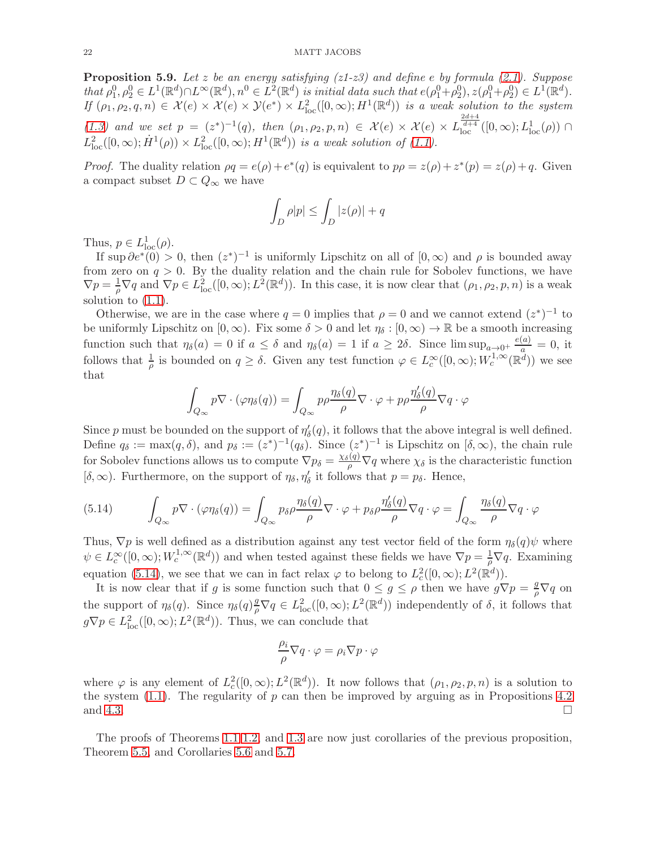**Proposition 5.9.** Let z be an energy satisfying  $(z1-z3)$  and define e by formula  $(2.1)$ . Suppose that  $\rho_1^0, \rho_2^0 \in L^1(\mathbb{R}^d) \cap L^\infty(\mathbb{R}^d)$ ,  $n^0 \in L^2(\mathbb{R}^d)$  is initial data such that  $e(\rho_1^0 + \rho_2^0), z(\rho_1^0 + \rho_2^0) \in L^1(\mathbb{R}^d)$ . If  $(\rho_1, \rho_2, q, n) \in \mathcal{X}(e) \times \mathcal{X}(e) \times \mathcal{Y}(e^*) \times L^2_{\text{loc}}([0, \infty); H^1(\mathbb{R}^d))$  is a weak solution to the system [\(1.3\)](#page-1-1) and we set  $p = (z^*)^{-1}(q)$ , then  $(\rho_1, \rho_2, p, n) \in \mathcal{X}(e) \times \mathcal{X}(e) \times L_{\text{loc}}^{\frac{2d+4}{d+4}}([0, \infty); L_{\text{loc}}^1(\rho)) \cap$  $L^2_{\text{loc}}([0,\infty); \dot{H}^1(\rho)) \times L^2_{\text{loc}}([0,\infty); H^1(\mathbb{R}^d))$  is a weak solution of [\(1.1\)](#page-0-0).

*Proof.* The duality relation  $\rho q = e(\rho) + e^*(q)$  is equivalent to  $p\rho = z(\rho) + z^*(p) = z(\rho) + q$ . Given a compact subset  $D \subset Q_{\infty}$  we have

$$
\int_D \rho |p| \le \int_D |z(\rho)| + q
$$

Thus,  $p \in L^1_{loc}(\rho)$ .

If sup  $\partial e^{*}(0) > 0$ , then  $(z^{*})^{-1}$  is uniformly Lipschitz on all of  $[0, \infty)$  and  $\rho$  is bounded away from zero on  $q > 0$ . By the duality relation and the chain rule for Sobolev functions, we have  $\nabla p = \frac{1}{\rho} \nabla q$  and  $\nabla p \in L^2_{loc}([0,\infty); L^2(\mathbb{R}^d))$ . In this case, it is now clear that  $(\rho_1, \rho_2, p, n)$  is a weak solution to  $(1.1)$ .

Otherwise, we are in the case where  $q = 0$  implies that  $\rho = 0$  and we cannot extend  $(z^*)^{-1}$  to be uniformly Lipschitz on  $[0,\infty)$ . Fix some  $\delta > 0$  and let  $\eta_{\delta} : [0,\infty) \to \mathbb{R}$  be a smooth increasing function such that  $\eta_{\delta}(a) = 0$  if  $a \leq \delta$  and  $\eta_{\delta}(a) = 1$  if  $a \geq 2\delta$ . Since  $\limsup_{a \to 0^+} \frac{e(a)}{a} = 0$ , it follows that  $\frac{1}{\rho}$  is bounded on  $q \geq \delta$ . Given any test function  $\varphi \in L_c^{\infty}([0,\infty);W_c^{1,\infty}(\mathbb{R}^d))$  we see that

$$
\int_{Q_{\infty}} p \nabla \cdot (\varphi \eta_{\delta}(q)) = \int_{Q_{\infty}} p \rho \frac{\eta_{\delta}(q)}{\rho} \nabla \cdot \varphi + p \rho \frac{\eta'_{\delta}(q)}{\rho} \nabla q \cdot \varphi
$$

Since p must be bounded on the support of  $\eta'_{\delta}(q)$ , it follows that the above integral is well defined. Define  $q_{\delta} := \max(q, \delta)$ , and  $p_{\delta} := (z^*)^{-1}(q_{\delta})$ . Since  $(z^*)^{-1}$  is Lipschitz on  $[\delta, \infty)$ , the chain rule for Sobolev functions allows us to compute  $\nabla p_{\delta} = \frac{\chi_{\delta}(q)}{\rho} \nabla q$  where  $\chi_{\delta}$  is the characteristic function  $[\delta, \infty)$ . Furthermore, on the support of  $\eta_{\delta}, \eta'_{\delta}$  it follows that  $p = p_{\delta}$ . Hence,

<span id="page-21-0"></span>(5.14) 
$$
\int_{Q_{\infty}} p \nabla \cdot (\varphi \eta_{\delta}(q)) = \int_{Q_{\infty}} p_{\delta} \rho \frac{\eta_{\delta}(q)}{\rho} \nabla \cdot \varphi + p_{\delta} \rho \frac{\eta'_{\delta}(q)}{\rho} \nabla q \cdot \varphi = \int_{Q_{\infty}} \frac{\eta_{\delta}(q)}{\rho} \nabla q \cdot \varphi
$$

Thus,  $\nabla p$  is well defined as a distribution against any test vector field of the form  $\eta_{\delta}(q)\psi$  where  $\psi \in L_c^{\infty}([0,\infty);W_c^{1,\infty}(\mathbb{R}^d))$  and when tested against these fields we have  $\nabla p = \frac{1}{\rho} \nabla q$ . Examining equation [\(5.14\)](#page-21-0), we see that we can in fact relax  $\varphi$  to belong to  $L_c^2([0,\infty); L^2(\mathbb{R}^d))$ .

It is now clear that if g is some function such that  $0 \leq g \leq \rho$  then we have  $g\nabla p = \frac{g}{\rho}\nabla q$  on the support of  $\eta_{\delta}(q)$ . Since  $\eta_{\delta}(q) \frac{q}{\rho} \nabla q \in L^2_{\text{loc}}([0,\infty);L^2(\mathbb{R}^d))$  independently of  $\delta$ , it follows that  $g\nabla p \in L^2_{loc}([0,\infty); L^2(\mathbb{R}^d))$ . Thus, we can conclude that

$$
\frac{\rho_i}{\rho} \nabla q \cdot \varphi = \rho_i \nabla p \cdot \varphi
$$

where  $\varphi$  is any element of  $L_c^2([0,\infty);L^2(\mathbb{R}^d))$ . It now follows that  $(\rho_1,\rho_2,p,n)$  is a solution to the system  $(1.1)$ . The regularity of p can then be improved by arguing as in Propositions [4.2](#page-9-3) and [4.3.](#page-10-1)

The proofs of Theorems [1.1](#page-3-1) [1.2,](#page-3-2) and [1.3](#page-3-0) are now just corollaries of the previous proposition, Theorem [5.5,](#page-17-0) and Corollaries [5.6](#page-20-1) and [5.7.](#page-20-2)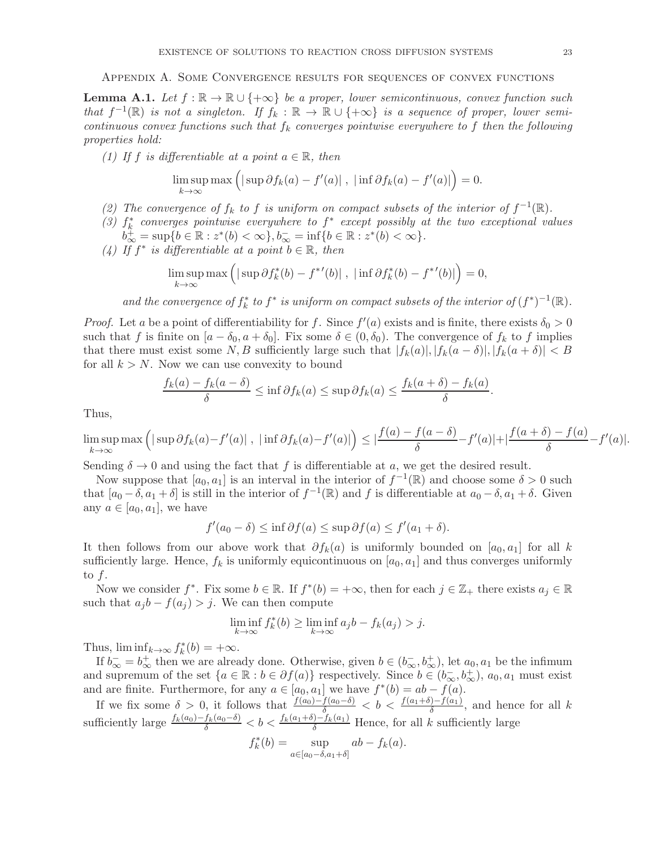Appendix A. Some Convergence results for sequences of convex functions

<span id="page-22-0"></span>**Lemma A.1.** Let  $f : \mathbb{R} \to \mathbb{R} \cup \{+\infty\}$  be a proper, lower semicontinuous, convex function such that  $f^{-1}(\mathbb{R})$  is not a singleton. If  $f_k : \mathbb{R} \to \mathbb{R} \cup \{+\infty\}$  is a sequence of proper, lower semicontinuous convex functions such that  $f_k$  converges pointwise everywhere to f then the following properties hold:

(1) If f is differentiable at a point  $a \in \mathbb{R}$ , then

$$
\limsup_{k \to \infty} \max \left( |\sup \partial f_k(a) - f'(a)| , |\inf \partial f_k(a) - f'(a)| \right) = 0.
$$

- (2) The convergence of  $f_k$  to f is uniform on compact subsets of the interior of  $f^{-1}(\mathbb{R})$ .
- (3)  $f_k^*$  converges pointwise everywhere to  $f^*$  except possibly at the two exceptional values  $b_{\infty}^{+} = \sup\{b \in \mathbb{R} : z^{*}(b) < \infty\}, b_{\infty}^{-} = \inf\{b \in \mathbb{R} : z^{*}(b) < \infty\}.$
- (4) If  $f^*$  is differentiable at a point  $b \in \mathbb{R}$ , then

$$
\limsup_{k \to \infty} \max \left( |\sup \partial f_k^*(b) - f^{*'}(b)| , |\inf \partial f_k^*(b) - f^{*'}(b)| \right) = 0,
$$

and the convergence of  $f_k^*$  to  $f^*$  is uniform on compact subsets of the interior of  $(f^*)^{-1}(\mathbb{R})$ .

*Proof.* Let a be a point of differentiability for f. Since  $f'(a)$  exists and is finite, there exists  $\delta_0 > 0$ such that f is finite on  $[a - \delta_0, a + \delta_0]$ . Fix some  $\delta \in (0, \delta_0)$ . The convergence of  $f_k$  to f implies that there must exist some  $N, B$  sufficiently large such that  $|f_k(a)|, |f_k(a - \delta)|, |f_k(a + \delta)| < B$ for all  $k > N$ . Now we can use convexity to bound

$$
\frac{f_k(a) - f_k(a - \delta)}{\delta} \le \inf \partial f_k(a) \le \sup \partial f_k(a) \le \frac{f_k(a + \delta) - f_k(a)}{\delta}.
$$

Thus,

$$
\limsup_{k \to \infty} \max \left( |\sup \partial f_k(a) - f'(a)| , |\inf \partial f_k(a) - f'(a)| \right) \leq \left| \frac{f(a) - f(a - \delta)}{\delta} - f'(a) \right| + \left| \frac{f(a + \delta) - f(a)}{\delta} - f'(a) \right|.
$$

Sending  $\delta \to 0$  and using the fact that f is differentiable at a, we get the desired result.

Now suppose that  $[a_0, a_1]$  is an interval in the interior of  $f^{-1}(\mathbb{R})$  and choose some  $\delta > 0$  such that  $[a_0 - \delta, a_1 + \delta]$  is still in the interior of  $f^{-1}(\mathbb{R})$  and f is differentiable at  $a_0 - \delta, a_1 + \delta$ . Given any  $a \in [a_0, a_1]$ , we have

$$
f'(a_0 - \delta) \le \inf \partial f(a) \le \sup \partial f(a) \le f'(a_1 + \delta).
$$

It then follows from our above work that  $\partial f_k(a)$  is uniformly bounded on [a<sub>0</sub>, a<sub>1</sub>] for all k sufficiently large. Hence,  $f_k$  is uniformly equicontinuous on  $[a_0, a_1]$  and thus converges uniformly to f.

Now we consider  $f^*$ . Fix some  $b \in \mathbb{R}$ . If  $f^*(b) = +\infty$ , then for each  $j \in \mathbb{Z}_+$  there exists  $a_j \in \mathbb{R}$ such that  $a_j b - f(a_j) > j$ . We can then compute

$$
\liminf_{k \to \infty} f_k^*(b) \ge \liminf_{k \to \infty} a_j b - f_k(a_j) > j.
$$

Thus,  $\liminf_{k \to \infty} f_k^*(b) = +\infty$ .

If  $b_{\infty}^- = b_{\infty}^+$  then we are already done. Otherwise, given  $b \in (b_{\infty}^-, b_{\infty}^+)$ , let  $a_0, a_1$  be the infimum and supremum of the set  $\{a \in \mathbb{R} : b \in \partial f(a)\}$  respectively. Since  $b \in (b_{\infty}^-, b_{\infty}^+)$ ,  $a_0, a_1$  must exist and are finite. Furthermore, for any  $a \in [a_0, a_1]$  we have  $f^*(b) = ab - f(a)$ .

If we fix some  $\delta > 0$ , it follows that  $\frac{f(a_0)-f(a_0-\delta)}{\delta} < b < \frac{f(a_1+\delta)-f(a_1)}{\delta}$ , and hence for all k sufficiently large  $\frac{f_k(a_0)-f_k(a_0-\delta)}{\delta} < b < \frac{f_k(a_1+\delta)-f_k(a_1)}{\delta}$  Hence, for all k sufficiently large

$$
f_k^*(b) = \sup_{a \in [a_0 - \delta, a_1 + \delta]} ab - f_k(a).
$$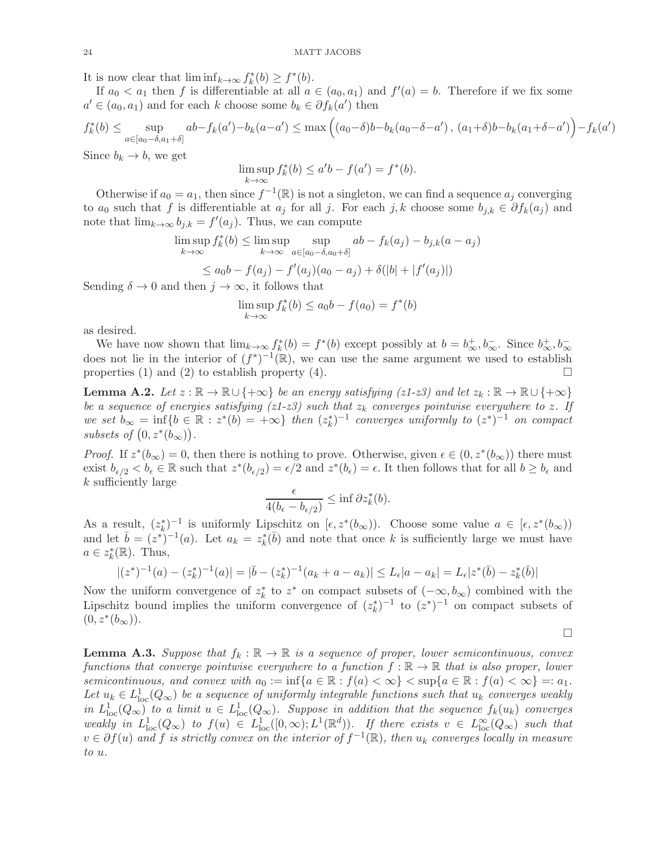It is now clear that  $\liminf_{k\to\infty} f_k^*(b) \geq f^*(b)$ .

If  $a_0 < a_1$  then f is differentiable at all  $a \in (a_0, a_1)$  and  $f'(a) = b$ . Therefore if we fix some  $a' \in (a_0, a_1)$  and for each k choose some  $b_k \in \partial f_k(a')$  then

$$
f_k^*(b) \le \sup_{a \in [a_0 - \delta, a_1 + \delta]} ab - f_k(a') - b_k(a - a') \le \max\left( (a_0 - \delta)b - b_k(a_0 - \delta - a') \right), (a_1 + \delta)b - b_k(a_1 + \delta - a') - f_k(a - a') = 0
$$

Since  $b_k \to b$ , we get

$$
\limsup_{k \to \infty} f_k^*(b) \le a'b - f(a') = f^*(b).
$$

Otherwise if  $a_0 = a_1$ , then since  $f^{-1}(\mathbb{R})$  is not a singleton, we can find a sequence  $a_j$  converging to  $a_0$  such that f is differentiable at  $a_j$  for all j. For each j, k choose some  $b_{j,k} \in \partial f_k(a_j)$  and note that  $\lim_{k\to\infty} b_{j,k} = f'(a_j)$ . Thus, we can compute

$$
\limsup_{k \to \infty} f_k^*(b) \le \limsup_{k \to \infty} \sup_{a \in [a_0 - \delta, a_0 + \delta]} ab - f_k(a_j) - b_{j,k}(a - a_j)
$$

$$
\leq a_0 b - f(a_j) - f'(a_j)(a_0 - a_j) + \delta(|b| + |f'(a_j)|)
$$

Sending  $\delta \to 0$  and then  $j \to \infty$ , it follows that

$$
\limsup_{k \to \infty} f_k^*(b) \le a_0 b - f(a_0) = f^*(b)
$$

as desired.

We have now shown that  $\lim_{k\to\infty} f_k^*(b) = f^*(b)$  except possibly at  $b = b^+_{\infty}, b^-_{\infty}$ . Since  $b^+_{\infty}, b^-_{\infty}$ does not lie in the interior of  $(f^*)^{-1}(\mathbb{R})$ , we can use the same argument we used to establish properties (1) and (2) to establish property (4).

**Lemma A.2.** Let  $z : \mathbb{R} \to \mathbb{R} \cup \{+\infty\}$  be an energy satisfying (z1-z3) and let  $z_k : \mathbb{R} \to \mathbb{R} \cup \{+\infty\}$ be a sequence of energies satisfying (z1-z3) such that  $z_k$  converges pointwise everywhere to z. If we set  $b_{\infty} = \inf \{ b \in \mathbb{R} : z^*(b) = +\infty \}$  then  $(z_k^*)^{-1}$  converges uniformly to  $(z^*)^{-1}$  on compact subsets of  $(0, z^*(b_{\infty}))$ .

*Proof.* If  $z^*(b_\infty) = 0$ , then there is nothing to prove. Otherwise, given  $\epsilon \in (0, z^*(b_\infty))$  there must exist  $b_{\epsilon/2} < b_{\epsilon} \in \mathbb{R}$  such that  $z^*(b_{\epsilon/2}) = \epsilon/2$  and  $z^*(b_{\epsilon}) = \epsilon$ . It then follows that for all  $b \ge b_{\epsilon}$  and k sufficiently large

$$
\frac{\epsilon}{4(b_{\epsilon}-b_{\epsilon/2})} \leq \inf \partial z_k^*(b).
$$

As a result,  $(z_k^*)^{-1}$  is uniformly Lipschitz on  $[\epsilon, z^*(b_\infty))$ . Choose some value  $a \in [\epsilon, z^*(b_\infty))$ and let  $\bar{b} = (z^*)^{-1}(a)$ . Let  $a_k = z_k^*(\bar{b})$  and note that once k is sufficiently large we must have  $a \in z_k^*(\mathbb{R})$ . Thus,

$$
|(z^*)^{-1}(a)-(z_k^*)^{-1}(a)|=|\bar{b}-(z_k^*)^{-1}(a_k+a-a_k)|\leq L_{\epsilon}|a-a_k|=L_{\epsilon}|z^*(\bar{b})-z_k^*(\bar{b})|
$$

Now the uniform convergence of  $z_k^*$  to  $z^*$  on compact subsets of  $(-\infty, b_{\infty})$  combined with the Lipschitz bound implies the uniform convergence of  $(z_k^*)^{-1}$  to  $(z^*)^{-1}$  on compact subsets of  $(0, z^*(b_{\infty}))$ .

 $\Box$ 

′ )

<span id="page-23-0"></span>**Lemma A.3.** Suppose that  $f_k : \mathbb{R} \to \mathbb{R}$  is a sequence of proper, lower semicontinuous, convex functions that converge pointwise everywhere to a function  $f : \mathbb{R} \to \mathbb{R}$  that is also proper, lower semicontinuous, and convex with  $a_0 := \inf\{a \in \mathbb{R} : f(a) < \infty\} < \sup\{a \in \mathbb{R} : f(a) < \infty\} =: a_1$ . Let  $u_k \in L^1_{loc}(Q_\infty)$  be a sequence of uniformly integrable functions such that  $u_k$  converges weakly in  $L^1_{loc}(Q_\infty)$  to a limit  $u \in L^1_{loc}(Q_\infty)$ . Suppose in addition that the sequence  $f_k(u_k)$  converges weakly in  $L^1_{loc}(Q_\infty)$  to  $f(u) \in L^1_{loc}([0,\infty); L^1(\mathbb{R}^d))$ . If there exists  $v \in L^\infty_{loc}(Q_\infty)$  such that  $v \in \partial f(u)$  and f is strictly convex on the interior of  $f^{-1}(\mathbb{R})$ , then  $u_k$  converges locally in measure to u.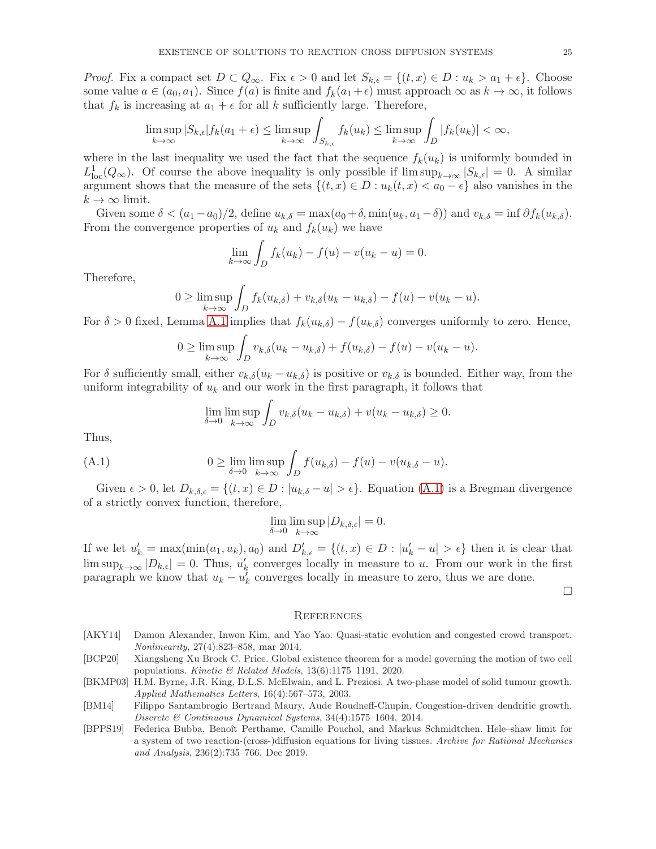*Proof.* Fix a compact set  $D \subset Q_\infty$ . Fix  $\epsilon > 0$  and let  $S_{k,\epsilon} = \{(t,x) \in D : u_k > a_1 + \epsilon\}$ . Choose some value  $a \in (a_0, a_1)$ . Since  $f(a)$  is finite and  $f_k(a_1 + \epsilon)$  must approach  $\infty$  as  $k \to \infty$ , it follows that  $f_k$  is increasing at  $a_1 + \epsilon$  for all k sufficiently large. Therefore,

$$
\limsup_{k \to \infty} |S_{k,\epsilon}| f_k(a_1 + \epsilon) \le \limsup_{k \to \infty} \int_{S_{k,\epsilon}} f_k(u_k) \le \limsup_{k \to \infty} \int_D |f_k(u_k)| < \infty,
$$

where in the last inequality we used the fact that the sequence  $f_k(u_k)$  is uniformly bounded in  $L^1_{loc}(Q_\infty)$ . Of course the above inequality is only possible if  $\limsup_{k\to\infty} |S_{k,\epsilon}| = 0$ . A similar argument shows that the measure of the sets  $\{(t, x) \in D : u_k(t, x) < a_0 - \epsilon\}$  also vanishes in the  $k \to \infty$  limit.

Given some  $\delta < (a_1 - a_0)/2$ , define  $u_{k,\delta} = \max(a_0 + \delta, \min(u_k, a_1 - \delta))$  and  $v_{k,\delta} = \inf \partial f_k(u_{k,\delta})$ . From the convergence properties of  $u_k$  and  $f_k(u_k)$  we have

$$
\lim_{k \to \infty} \int_D f_k(u_k) - f(u) - v(u_k - u) = 0.
$$

Therefore,

$$
0 \geq \limsup_{k \to \infty} \int_D f_k(u_{k,\delta}) + v_{k,\delta}(u_k - u_{k,\delta}) - f(u) - v(u_k - u).
$$

For  $\delta > 0$  fixed, Lemma [A.1](#page-22-0) implies that  $f_k(u_{k,\delta}) - f(u_{k,\delta})$  converges uniformly to zero. Hence,

$$
0 \geq \limsup_{k \to \infty} \int_D v_{k,\delta}(u_k - u_{k,\delta}) + f(u_{k,\delta}) - f(u) - v(u_k - u).
$$

For  $\delta$  sufficiently small, either  $v_{k,\delta}(u_k - u_{k,\delta})$  is positive or  $v_{k,\delta}$  is bounded. Either way, from the uniform integrability of  $u_k$  and our work in the first paragraph, it follows that

<span id="page-24-5"></span>
$$
\lim_{\delta \to 0} \limsup_{k \to \infty} \int_D v_{k,\delta}(u_k - u_{k,\delta}) + v(u_k - u_{k,\delta}) \ge 0.
$$

Thus,

(A.1) 
$$
0 \geq \lim_{\delta \to 0} \limsup_{k \to \infty} \int_{D} f(u_{k,\delta}) - f(u) - v(u_{k,\delta} - u).
$$

Given  $\epsilon > 0$ , let  $D_{k,\delta,\epsilon} = \{(t,x) \in D : |u_{k,\delta} - u| > \epsilon\}$ . Equation  $(A.1)$  is a Bregman divergence of a strictly convex function, therefore,

$$
\lim_{\delta \to 0} \limsup_{k \to \infty} |D_{k,\delta,\epsilon}| = 0.
$$

If we let  $u'_k = \max(\min(a_1, u_k), a_0)$  and  $D'_{k,\epsilon} = \{(t, x) \in D : |u'_k - u| > \epsilon\}$  then it is clear that  $\limsup_{k\to\infty} |D_{k,\epsilon}| = 0.$  Thus,  $u'_{k}$  converges locally in measure to u. From our work in the first paragraph we know that  $u_k - u'_k$  converges locally in measure to zero, thus we are done.

 $\Box$ 

#### **REFERENCES**

- <span id="page-24-3"></span>[AKY14] Damon Alexander, Inwon Kim, and Yao Yao. Quasi-static evolution and congested crowd transport. Nonlinearity, 27(4):823–858, mar 2014.
- <span id="page-24-1"></span>[BCP20] Xiangsheng Xu Brock C. Price. Global existence theorem for a model governing the motion of two cell populations. Kinetic & Related Models, 13(6):1175–1191, 2020.
- <span id="page-24-0"></span>[BKMP03] H.M. Byrne, J.R. King, D.L.S. McElwain, and L. Preziosi. A two-phase model of solid tumour growth. Applied Mathematics Letters, 16(4):567–573, 2003.
- <span id="page-24-4"></span>[BM14] Filippo Santambrogio Bertrand Maury, Aude Roudneff-Chupin. Congestion-driven dendritic growth. Discrete & Continuous Dynamical Systems, 34(4):1575–1604, 2014.
- <span id="page-24-2"></span>[BPPS19] Federica Bubba, Benoît Perthame, Camille Pouchol, and Markus Schmidtchen. Hele–shaw limit for a system of two reaction-(cross-)diffusion equations for living tissues. Archive for Rational Mechanics and Analysis, 236(2):735–766, Dec 2019.